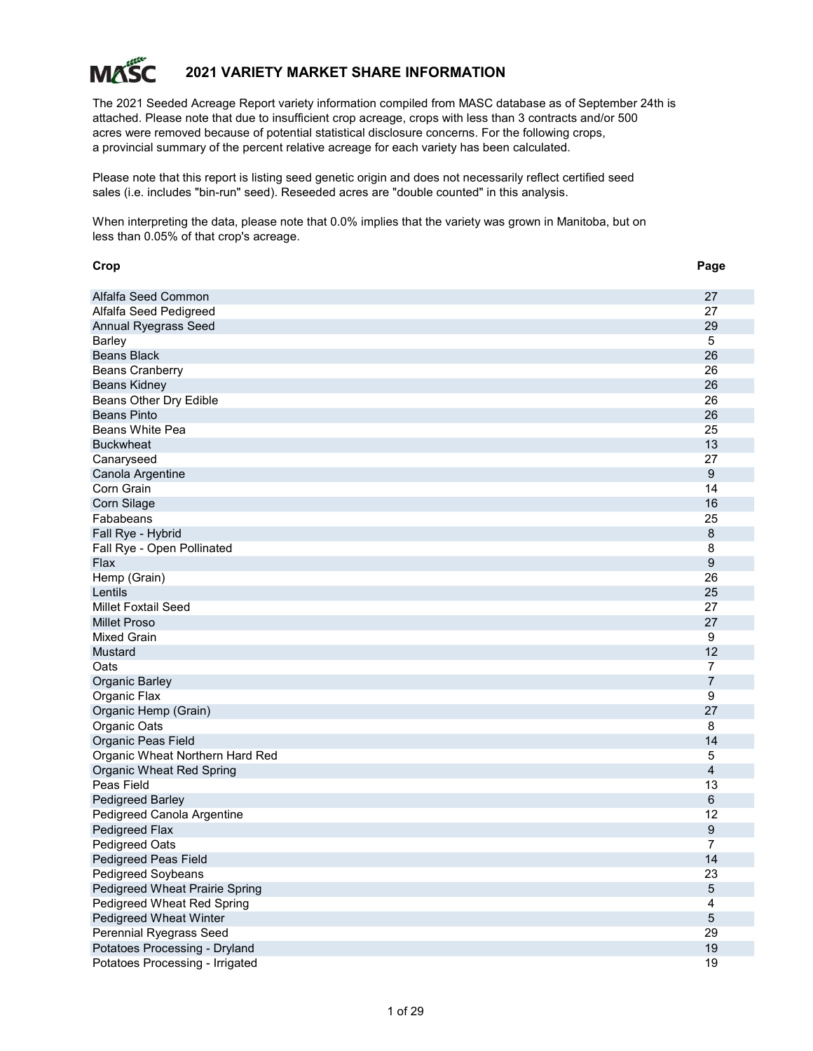

# 2021 VARIETY MARKET SHARE INFORMATION

The 2021 Seeded Acreage Report variety information compiled from MASC database as of September 24th is attached. Please note that due to insufficient crop acreage, crops with less than 3 contracts and/or 500 acres were removed because of potential statistical disclosure concerns. For the following crops, a provincial summary of the percent relative acreage for each variety has been calculated.

Please note that this report is listing seed genetic origin and does not necessarily reflect certified seed sales (i.e. includes "bin-run" seed). Reseeded acres are "double counted" in this analysis.

When interpreting the data, please note that 0.0% implies that the variety was grown in Manitoba, but on less than 0.05% of that crop's acreage.

| Crop                            | Page           |
|---------------------------------|----------------|
| Alfalfa Seed Common             | 27             |
| Alfalfa Seed Pedigreed          | 27             |
| Annual Ryegrass Seed            | 29             |
| <b>Barley</b>                   | 5              |
| <b>Beans Black</b>              | 26             |
| <b>Beans Cranberry</b>          | 26             |
| <b>Beans Kidney</b>             | 26             |
| Beans Other Dry Edible          | 26             |
| <b>Beans Pinto</b>              | 26             |
| <b>Beans White Pea</b>          | 25             |
| <b>Buckwheat</b>                | 13             |
| Canaryseed                      | 27             |
| Canola Argentine                | 9              |
| Corn Grain                      | 14             |
| Corn Silage                     | 16             |
| Fababeans                       | 25             |
| Fall Rye - Hybrid               | 8              |
| Fall Rye - Open Pollinated      | 8              |
| Flax                            | 9              |
| Hemp (Grain)                    | 26             |
| Lentils                         | 25             |
| <b>Millet Foxtail Seed</b>      | 27             |
| <b>Millet Proso</b>             | 27             |
| Mixed Grain                     | 9              |
| <b>Mustard</b>                  | 12             |
| Oats                            | $\overline{7}$ |
| <b>Organic Barley</b>           | 7              |
| Organic Flax                    | 9              |
| Organic Hemp (Grain)            | 27             |
| Organic Oats                    | 8              |
| Organic Peas Field              | 14             |
| Organic Wheat Northern Hard Red | 5              |
| Organic Wheat Red Spring        | 4              |
| Peas Field                      | 13             |
| Pedigreed Barley                | $\,6$          |
| Pedigreed Canola Argentine      | 12             |
| Pedigreed Flax                  | 9              |
| Pedigreed Oats                  | 7              |
| Pedigreed Peas Field            | 14             |
| Pedigreed Soybeans              | 23             |
| Pedigreed Wheat Prairie Spring  | $\sqrt{5}$     |
| Pedigreed Wheat Red Spring      | 4              |
| Pedigreed Wheat Winter          | $\mathbf 5$    |
| <b>Perennial Ryegrass Seed</b>  | 29             |
| Potatoes Processing - Dryland   | 19             |
| Potatoes Processing - Irrigated | 19             |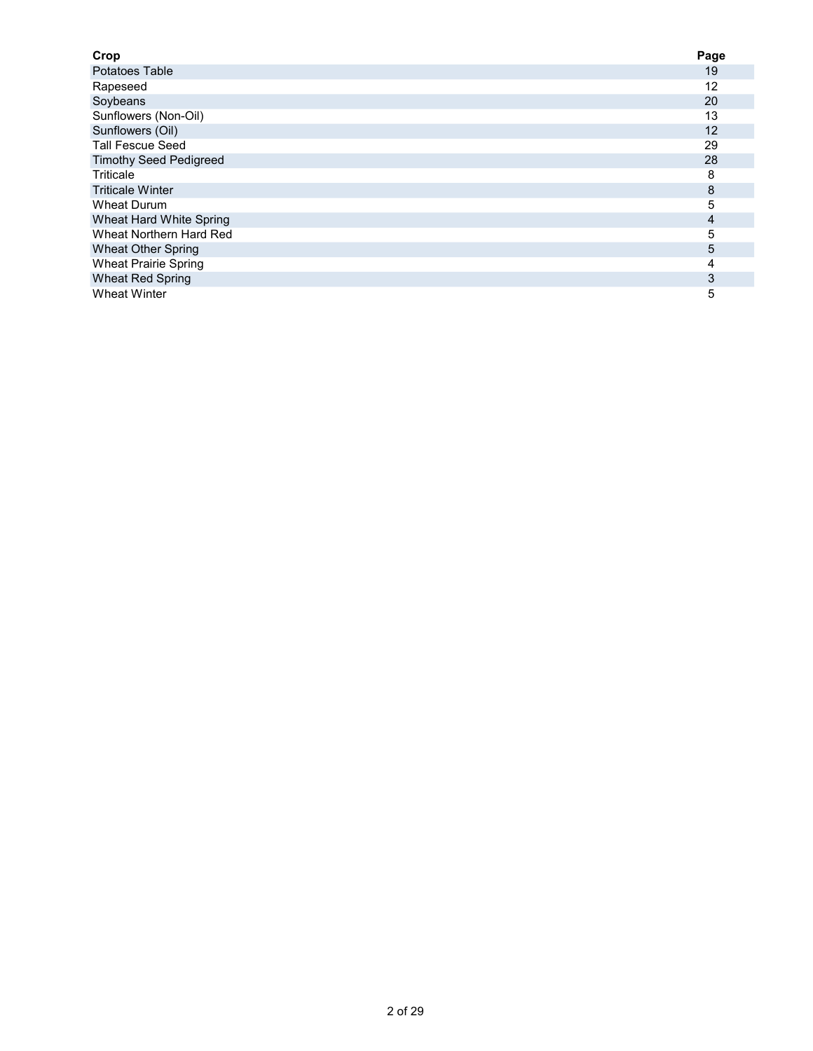| Crop                          | Page |
|-------------------------------|------|
| Potatoes Table                | 19   |
| Rapeseed                      | 12   |
| Soybeans                      | 20   |
| Sunflowers (Non-Oil)          | 13   |
| Sunflowers (Oil)              | 12   |
| <b>Tall Fescue Seed</b>       | 29   |
| <b>Timothy Seed Pedigreed</b> | 28   |
| Triticale                     | 8    |
| <b>Triticale Winter</b>       | 8    |
| Wheat Durum                   | 5    |
| Wheat Hard White Spring       | 4    |
| Wheat Northern Hard Red       | 5    |
| <b>Wheat Other Spring</b>     | 5    |
| <b>Wheat Prairie Spring</b>   | 4    |
| <b>Wheat Red Spring</b>       | 3    |
| <b>Wheat Winter</b>           | 5    |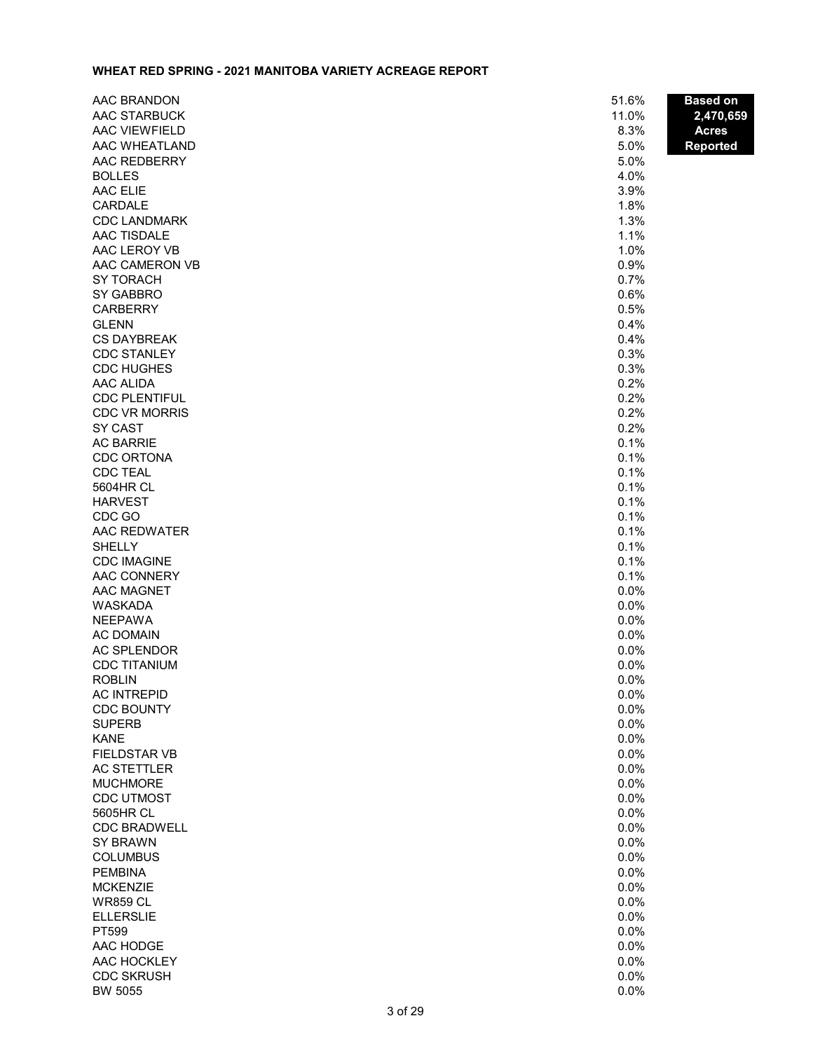# WHEAT RED SPRING - 2021 MANITOBA VARIETY ACREAGE REPORT

| AAC BRANDON                        | 51.6%        | <b>Based on</b> |
|------------------------------------|--------------|-----------------|
| AAC STARBUCK                       | 11.0%        | 2,470,659       |
| AAC VIEWFIELD                      | 8.3%         | <b>Acres</b>    |
| AAC WHEATLAND                      | 5.0%         | <b>Reported</b> |
| AAC REDBERRY                       | 5.0%         |                 |
| <b>BOLLES</b>                      | 4.0%         |                 |
| AAC ELIE                           | 3.9%         |                 |
| CARDALE                            | 1.8%         |                 |
| <b>CDC LANDMARK</b>                | 1.3%         |                 |
| <b>AAC TISDALE</b>                 | 1.1%         |                 |
| AAC LEROY VB                       | 1.0%         |                 |
| AAC CAMERON VB                     | 0.9%         |                 |
| <b>SY TORACH</b>                   | 0.7%         |                 |
| SY GABBRO                          | 0.6%         |                 |
| <b>CARBERRY</b><br><b>GLENN</b>    | 0.5%<br>0.4% |                 |
| <b>CS DAYBREAK</b>                 | 0.4%         |                 |
| <b>CDC STANLEY</b>                 | 0.3%         |                 |
| <b>CDC HUGHES</b>                  | 0.3%         |                 |
| AAC ALIDA                          | 0.2%         |                 |
| <b>CDC PLENTIFUL</b>               | 0.2%         |                 |
| <b>CDC VR MORRIS</b>               | 0.2%         |                 |
| SY CAST                            | 0.2%         |                 |
| <b>AC BARRIE</b>                   | 0.1%         |                 |
| <b>CDC ORTONA</b>                  | 0.1%         |                 |
| <b>CDC TEAL</b>                    | 0.1%         |                 |
| 5604HR CL                          | 0.1%         |                 |
| <b>HARVEST</b>                     | 0.1%         |                 |
| CDC GO                             | 0.1%         |                 |
| AAC REDWATER                       | 0.1%         |                 |
| <b>SHELLY</b>                      | 0.1%         |                 |
| <b>CDC IMAGINE</b>                 | 0.1%         |                 |
| AAC CONNERY                        | 0.1%         |                 |
| AAC MAGNET                         | 0.0%         |                 |
| WASKADA                            | 0.0%         |                 |
| <b>NEEPAWA</b><br><b>AC DOMAIN</b> | 0.0%<br>0.0% |                 |
| <b>AC SPLENDOR</b>                 | 0.0%         |                 |
| <b>CDC TITANIUM</b>                | 0.0%         |                 |
| <b>ROBLIN</b>                      | 0.0%         |                 |
| <b>AC INTREPID</b>                 | 0.0%         |                 |
| <b>CDC BOUNTY</b>                  | 0.0%         |                 |
| <b>SUPERB</b>                      | 0.0%         |                 |
| <b>KANE</b>                        | 0.0%         |                 |
| <b>FIELDSTAR VB</b>                | 0.0%         |                 |
| <b>AC STETTLER</b>                 | 0.0%         |                 |
| <b>MUCHMORE</b>                    | 0.0%         |                 |
| <b>CDC UTMOST</b>                  | 0.0%         |                 |
| 5605HR CL                          | 0.0%         |                 |
| <b>CDC BRADWELL</b>                | 0.0%         |                 |
| <b>SY BRAWN</b>                    | 0.0%         |                 |
| <b>COLUMBUS</b>                    | 0.0%         |                 |
| <b>PEMBINA</b>                     | 0.0%         |                 |
| <b>MCKENZIE</b>                    | 0.0%         |                 |
| <b>WR859 CL</b>                    | 0.0%<br>0.0% |                 |
| <b>ELLERSLIE</b><br>PT599          | 0.0%         |                 |
| AAC HODGE                          | 0.0%         |                 |
| AAC HOCKLEY                        | 0.0%         |                 |
| <b>CDC SKRUSH</b>                  | 0.0%         |                 |
| BW 5055                            | 0.0%         |                 |
|                                    |              |                 |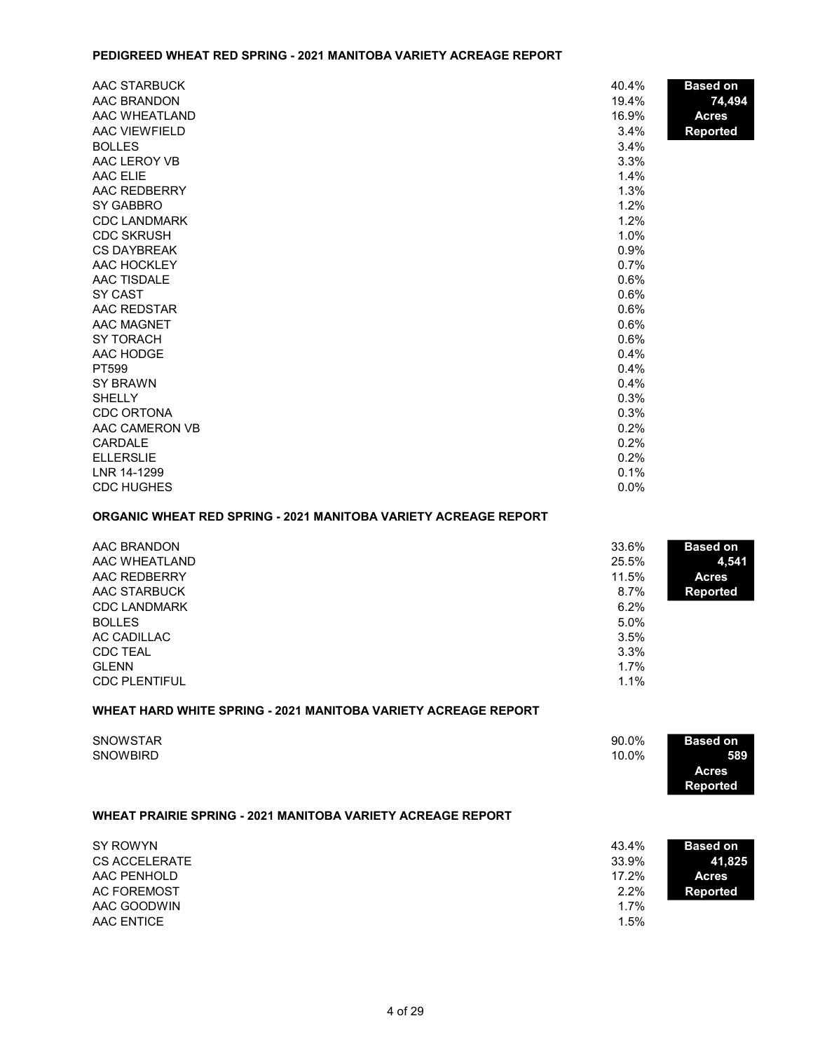#### PEDIGREED WHEAT RED SPRING - 2021 MANITOBA VARIETY ACREAGE REPORT

| AAC STARBUCK        | 40.4%   | <b>Based on</b> |
|---------------------|---------|-----------------|
| AAC BRANDON         | 19.4%   | 74,494          |
| AAC WHEATLAND       | 16.9%   | <b>Acres</b>    |
| AAC VIEWFIELD       | 3.4%    | <b>Reported</b> |
| <b>BOLLES</b>       | 3.4%    |                 |
| AAC LEROY VB        | 3.3%    |                 |
| <b>AAC ELIE</b>     | 1.4%    |                 |
| AAC REDBERRY        | 1.3%    |                 |
| SY GABBRO           | 1.2%    |                 |
| <b>CDC LANDMARK</b> | 1.2%    |                 |
| <b>CDC SKRUSH</b>   | 1.0%    |                 |
| <b>CS DAYBREAK</b>  | 0.9%    |                 |
| AAC HOCKLEY         | 0.7%    |                 |
| AAC TISDALE         | 0.6%    |                 |
| SY CAST             | 0.6%    |                 |
| AAC REDSTAR         | 0.6%    |                 |
| <b>AAC MAGNET</b>   | 0.6%    |                 |
| <b>SY TORACH</b>    | 0.6%    |                 |
| AAC HODGE           | 0.4%    |                 |
| PT599               | 0.4%    |                 |
| <b>SY BRAWN</b>     | 0.4%    |                 |
| <b>SHELLY</b>       | 0.3%    |                 |
| <b>CDC ORTONA</b>   | 0.3%    |                 |
| AAC CAMERON VB      | 0.2%    |                 |
| CARDALE             | 0.2%    |                 |
| <b>ELLERSLIE</b>    | 0.2%    |                 |
| LNR 14-1299         | 0.1%    |                 |
| <b>CDC HUGHES</b>   | $0.0\%$ |                 |

#### ORGANIC WHEAT RED SPRING - 2021 MANITOBA VARIETY ACREAGE REPORT

| AAC BRANDON          | 33.6%<br><b>Based on</b>   |       |
|----------------------|----------------------------|-------|
| AAC WHEATLAND        | 25.5%                      | 4,541 |
| AAC REDBERRY         | 11.5%<br><b>Acres</b>      |       |
| AAC STARBUCK         | $8.7\%$<br><b>Reported</b> |       |
| <b>CDC LANDMARK</b>  | 6.2%                       |       |
| <b>BOLLES</b>        | $5.0\%$                    |       |
| AC CADILLAC          | 3.5%                       |       |
| <b>CDC TEAL</b>      | 3.3%                       |       |
| <b>GLENN</b>         | $1.7\%$                    |       |
| <b>CDC PLENTIFUL</b> | 1.1%                       |       |
|                      |                            |       |

# WHEAT HARD WHITE SPRING - 2021 MANITOBA VARIETY ACREAGE REPORT

| SNOWSTAR<br><b>SNOWBIRD</b>                                        | 90.0%<br>10.0% | <b>Based on</b><br>589<br><b>Acres</b><br><b>Reported</b> |
|--------------------------------------------------------------------|----------------|-----------------------------------------------------------|
| <b>WHEAT PRAIRIE SPRING - 2021 MANITOBA VARIETY ACREAGE REPORT</b> |                |                                                           |
| SY ROWYN<br><b>CS ACCELERATE</b>                                   | 43.4%<br>33.9% | <b>Based on</b><br>41,825                                 |

| CS ACCELERATE | 33.9% | 41.825   |
|---------------|-------|----------|
| AAC PENHOLD   | 17.2% | Acres    |
| AC FOREMOST   | 2.2%  | Reported |
| AAC GOODWIN   | 1.7%  |          |
| AAC ENTICE    | 1.5%  |          |
|               |       |          |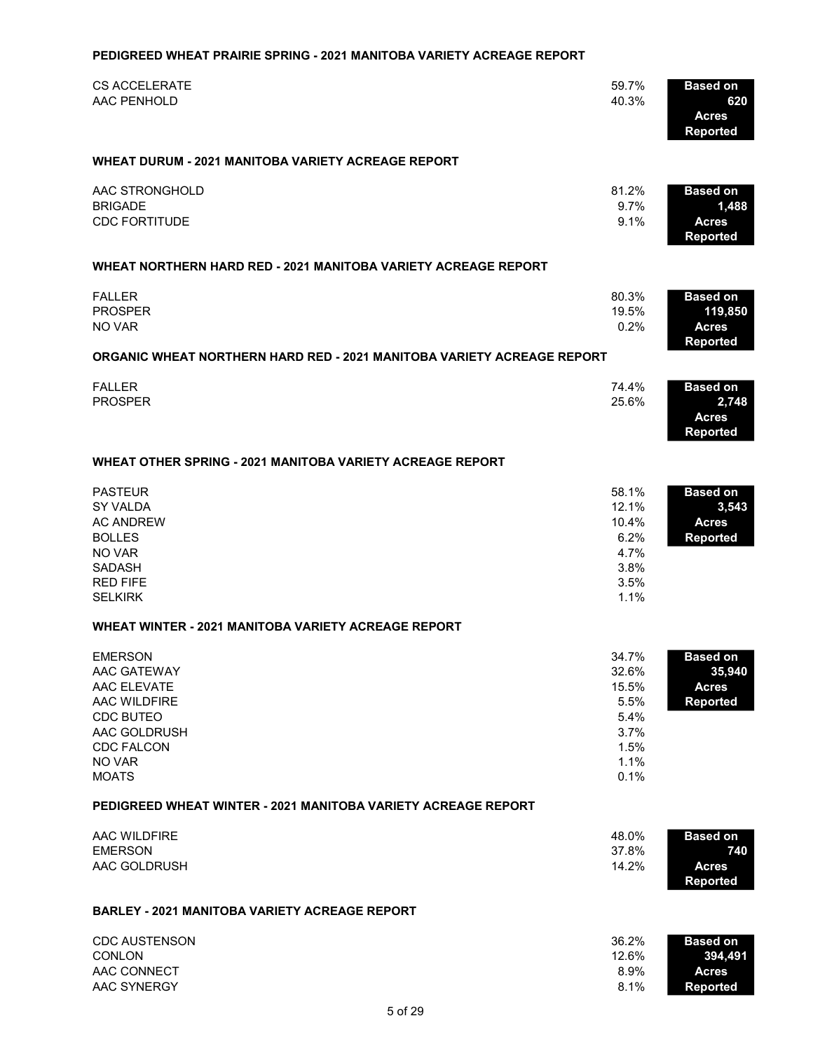# **CS ACCELERATE** 370 59.7% Based on the state of the state of the state of the state of the state of the state of the state of the state of the state of the state of the state of the state of the state of the state of the s AAC PENHOLD 620 and 520 and 520 and 520 and 520 and 520 and 520 and 40.3% 620 and 520 and 520 and 520 and 520 and 520 and 520 and 520 and 520 and 520 and 520 and 520 and 520 and 520 and 520 and 520 and 520 and 520 and 520 Acres Reported WHEAT DURUM - 2021 MANITOBA VARIETY ACREAGE REPORT AAC STRONGHOLD 2008 81.2% Based on AC STRONGHOLD  $BRIGADE$  and  $RIGADE$  and  $RIGADE$  and  $RIGADE$  and  $RIGADE$  and  $RIGADE$  and  $RIGADE$  and  $RIGADE$  and  $RIGE$  and  $RIGE$  and  $RIGE$  and  $RIGE$  and  $RIGE$  and  $RIGE$  and  $RIGE$  and  $RIGE$  and  $RIGE$  and  $RIGE$  and  $RIGE$  and  $RIGE$  and  $RIGE$  and  $RIGE$  and CDC FORTITUDE 2013 2013 135 9.1% Acres Reported WHEAT NORTHERN HARD RED - 2021 MANITOBA VARIETY ACREAGE REPORT FALLER 96,211 80.3% Based on PROSPER 23,399 19.5% 119,850 NO VAR 240 0.2% Acres Reported ORGANIC WHEAT NORTHERN HARD RED - 2021 MANITOBA VARIETY ACREAGE REPORT FALLER 2,045 74.4% Based on PROSPER  $25.6\%$  2,748 Acres Reported WHEAT OTHER SPRING - 2021 MANITOBA VARIETY ACREAGE REPORT PASTEUR 2,057 58.1% Based on  $SY$  VALDA  $3,543$ AC ANDREW 370 10.4% Acres BOLLES 220 6.2% Reported NO VAR  $4.7\%$  $SADASH$  3.8% RED FIFE  $\sim$  3.5%  $SELKIRK$  and  $1.1\%$ WHEAT WINTER - 2021 MANITOBA VARIETY ACREAGE REPORT EMERSON **EXERSON** Based on the set of the set of the set of the set of the set of the set of the set of the set of the set of the set of the set of the set of the set of the set of the set of the set of the set of the set AAC GATEWAY 25,940 AC GATEWAY 2012 11,708 AM AND 100 AM AND 100 AM AND 100 AM AND 100 AM AND 100 AM AND 100 AM AAC ELEVATE 5,564 15.5% Acres AAC WILDFIRE **1,990 September 1,990 September 1,990 September 1,990 September 1,990 September 1,990 September 1,990 September 1,990 September 1,990 September 1,990 September 1,990 September 1,990 September 1,990 September** CDC BUTEO 1,932 5.4% AAC GOLDRUSH 1,323 3.7% CDC FALCON 528 1.5% and 528 1.5% and 528 1.5% and 528 1.5% and 528 1.5% and 528 1.5% and 528 1.5% and 528 1.5% NO VAR  $1.1\%$  $\blacksquare$ MOATS  $\blacksquare$ PEDIGREED WHEAT WINTER - 2021 MANITOBA VARIETY ACREAGE REPORT AAC WILDFIRE 355 48.0% Based on EMERSON 280 37.8% 740 AAC GOLDRUSH 105 14.2% Acres Reported BARLEY - 2021 MANITOBA VARIETY ACREAGE REPORT CDC AUSTENSON 142,960 36.2% Based on  $COMLON$  394,491 AAC CONNECT 35,9% Acres 2008 Acres 2008 Acres 2009 Acres 2009 Acres 2009 Acres 2009 Acres 2009 Acres

PEDIGREED WHEAT PRAIRIE SPRING - 2021 MANITOBA VARIETY ACREAGE REPORT

AAC SYNERGY 32,081 8.1% Reported

5 of 29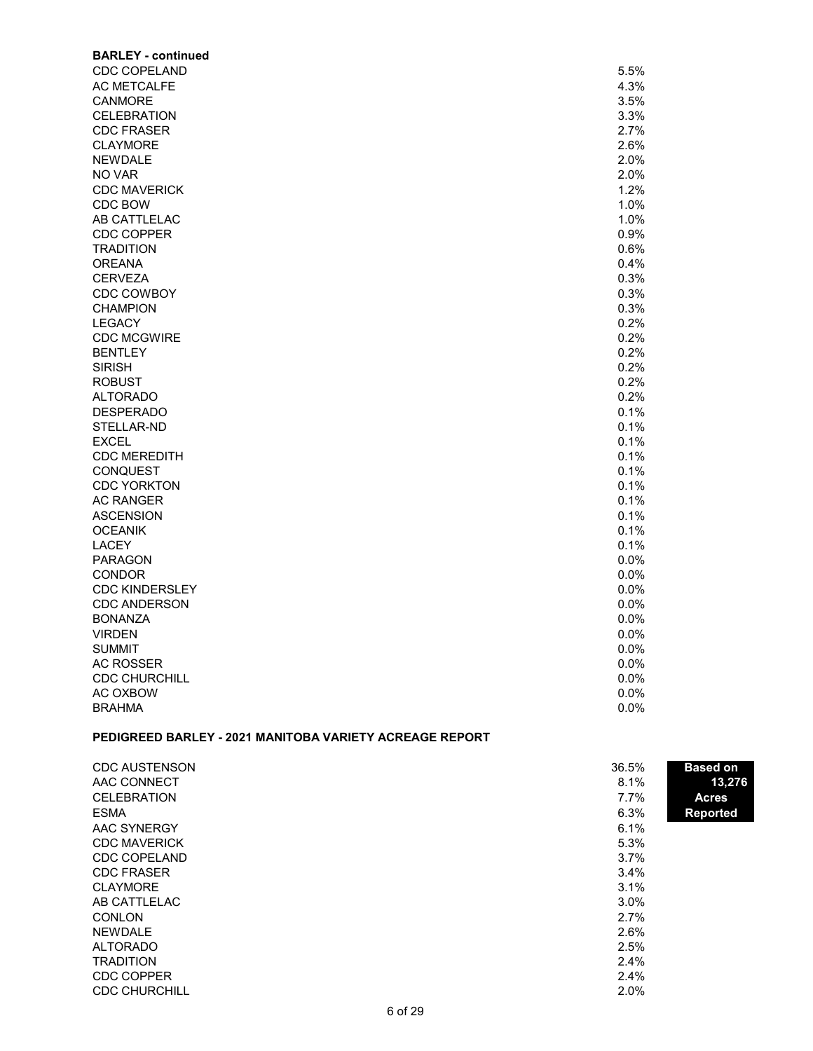| <b>BARLEY - continued</b>                               |         |                 |
|---------------------------------------------------------|---------|-----------------|
| <b>CDC COPELAND</b>                                     | 5.5%    |                 |
| AC METCALFE                                             | 4.3%    |                 |
| <b>CANMORE</b>                                          | 3.5%    |                 |
| <b>CELEBRATION</b>                                      | 3.3%    |                 |
| <b>CDC FRASER</b>                                       | 2.7%    |                 |
| <b>CLAYMORE</b>                                         | 2.6%    |                 |
| <b>NEWDALE</b>                                          | 2.0%    |                 |
| NO VAR                                                  | 2.0%    |                 |
| <b>CDC MAVERICK</b>                                     | 1.2%    |                 |
| CDC BOW                                                 | 1.0%    |                 |
| AB CATTLELAC                                            | 1.0%    |                 |
| <b>CDC COPPER</b>                                       | 0.9%    |                 |
| <b>TRADITION</b>                                        | 0.6%    |                 |
| <b>OREANA</b>                                           | 0.4%    |                 |
| <b>CERVEZA</b>                                          | 0.3%    |                 |
| <b>CDC COWBOY</b>                                       | 0.3%    |                 |
| <b>CHAMPION</b>                                         | 0.3%    |                 |
| <b>LEGACY</b>                                           | 0.2%    |                 |
|                                                         |         |                 |
| <b>CDC MCGWIRE</b>                                      | 0.2%    |                 |
| <b>BENTLEY</b>                                          | 0.2%    |                 |
| <b>SIRISH</b>                                           | 0.2%    |                 |
| <b>ROBUST</b>                                           | 0.2%    |                 |
| <b>ALTORADO</b>                                         | 0.2%    |                 |
| <b>DESPERADO</b>                                        | 0.1%    |                 |
| STELLAR-ND                                              | 0.1%    |                 |
| <b>EXCEL</b>                                            | 0.1%    |                 |
| <b>CDC MEREDITH</b>                                     | 0.1%    |                 |
| <b>CONQUEST</b>                                         | 0.1%    |                 |
| <b>CDC YORKTON</b>                                      | 0.1%    |                 |
| <b>AC RANGER</b>                                        | 0.1%    |                 |
| <b>ASCENSION</b>                                        | 0.1%    |                 |
| <b>OCEANIK</b>                                          | 0.1%    |                 |
| <b>LACEY</b>                                            | 0.1%    |                 |
| <b>PARAGON</b>                                          | 0.0%    |                 |
| <b>CONDOR</b>                                           | 0.0%    |                 |
| <b>CDC KINDERSLEY</b>                                   | 0.0%    |                 |
| <b>CDC ANDERSON</b>                                     | 0.0%    |                 |
| <b>BONANZA</b>                                          | 0.0%    |                 |
| <b>VIRDEN</b>                                           | 0.0%    |                 |
| <b>SUMMIT</b>                                           | $0.0\%$ |                 |
| <b>AC ROSSER</b>                                        | 0.0%    |                 |
| <b>CDC CHURCHILL</b>                                    | 0.0%    |                 |
| AC OXBOW                                                | 0.0%    |                 |
| <b>BRAHMA</b>                                           | 0.0%    |                 |
|                                                         |         |                 |
| PEDIGREED BARLEY - 2021 MANITOBA VARIETY ACREAGE REPORT |         |                 |
| <b>CDC AUSTENSON</b>                                    | 36.5%   | <b>Based on</b> |
| AAC CONNECT                                             | 8.1%    | 13,276          |
| <b>CELEBRATION</b>                                      | 7.7%    | <b>Acres</b>    |
| <b>ESMA</b>                                             | 6.3%    | <b>Reported</b> |
| <b>AAC SYNERGY</b>                                      | 6.1%    |                 |
| <b>CDC MAVERICK</b>                                     | 5.3%    |                 |
| CDC COPELAND                                            | 3.7%    |                 |

CDC FRASER 3.4% CLAYMORE 3.1%<br>AB CATTLELAC 3.0%

 $COMLON$  3.7% NEWDALE 2.6% ALTORADO 331 2.5% TRADITION 2.4%<br>CDC COPPER 2.4%

CDC CHURCHILL 2.0%

AB CATTLELAC

CDC COPPER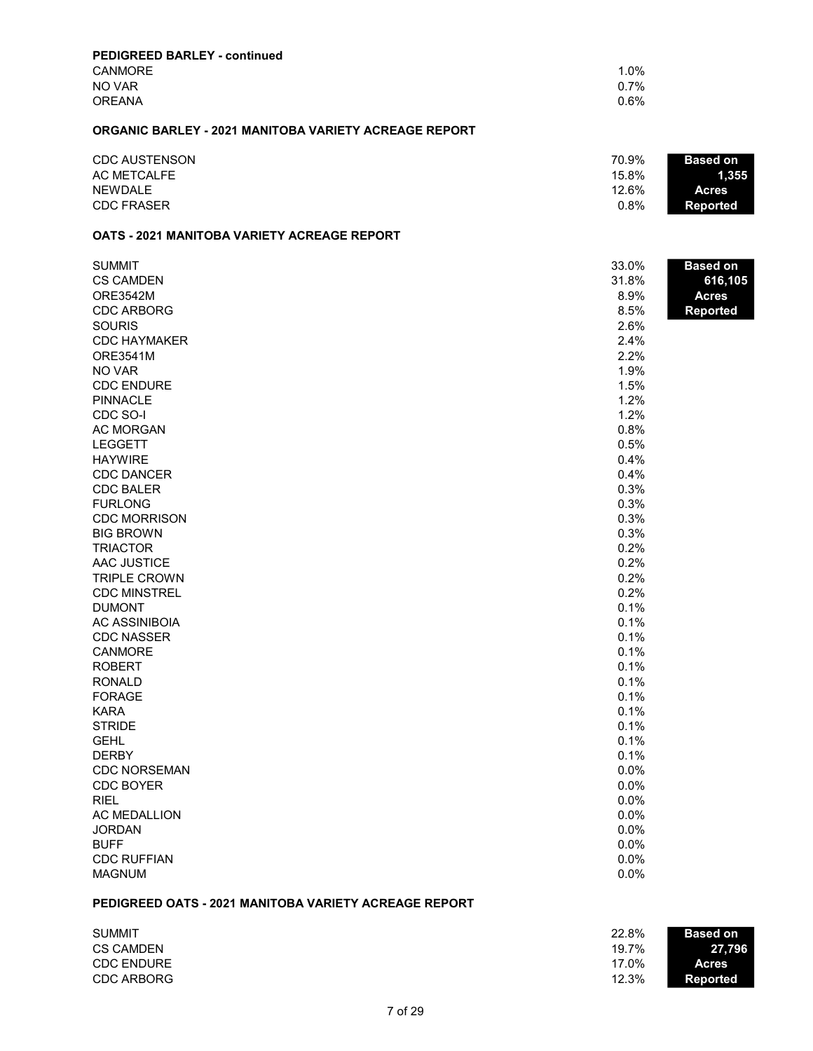| <b>PEDIGREED BARLEY - continued</b>                          |       |                 |
|--------------------------------------------------------------|-------|-----------------|
| <b>CANMORE</b>                                               | 1.0%  |                 |
| NO VAR                                                       | 0.7%  |                 |
| <b>OREANA</b>                                                | 0.6%  |                 |
| <b>ORGANIC BARLEY - 2021 MANITOBA VARIETY ACREAGE REPORT</b> |       |                 |
| <b>CDC AUSTENSON</b>                                         | 70.9% | <b>Based on</b> |
| <b>AC METCALFE</b>                                           | 15.8% | 1,355           |
| <b>NEWDALE</b>                                               | 12.6% | <b>Acres</b>    |
| <b>CDC FRASER</b>                                            | 0.8%  | <b>Reported</b> |
| <b>OATS - 2021 MANITOBA VARIETY ACREAGE REPORT</b>           |       |                 |
| <b>SUMMIT</b>                                                | 33.0% | <b>Based on</b> |
| <b>CS CAMDEN</b>                                             | 31.8% | 616,105         |
| ORE3542M                                                     | 8.9%  | <b>Acres</b>    |
| <b>CDC ARBORG</b>                                            | 8.5%  | <b>Reported</b> |
| <b>SOURIS</b>                                                | 2.6%  |                 |
| <b>CDC HAYMAKER</b>                                          | 2.4%  |                 |
| ORE3541M                                                     | 2.2%  |                 |
| NO VAR                                                       | 1.9%  |                 |
| <b>CDC ENDURE</b>                                            | 1.5%  |                 |
| <b>PINNACLE</b>                                              | 1.2%  |                 |
| CDC SO-I                                                     | 1.2%  |                 |
| <b>AC MORGAN</b>                                             | 0.8%  |                 |
| <b>LEGGETT</b>                                               | 0.5%  |                 |
| <b>HAYWIRE</b>                                               | 0.4%  |                 |
| <b>CDC DANCER</b>                                            | 0.4%  |                 |
| <b>CDC BALER</b>                                             | 0.3%  |                 |
| <b>FURLONG</b>                                               | 0.3%  |                 |
| <b>CDC MORRISON</b>                                          | 0.3%  |                 |
| <b>BIG BROWN</b>                                             | 0.3%  |                 |
| <b>TRIACTOR</b>                                              | 0.2%  |                 |
| AAC JUSTICE                                                  | 0.2%  |                 |
| <b>TRIPLE CROWN</b>                                          | 0.2%  |                 |
| <b>CDC MINSTREL</b>                                          | 0.2%  |                 |
| <b>DUMONT</b>                                                | 0.1%  |                 |
| <b>AC ASSINIBOIA</b>                                         | 0.1%  |                 |
| <b>CDC NASSER</b>                                            | 0.1%  |                 |
| CANMORE                                                      | 0.1%  |                 |
| <b>ROBERT</b>                                                | 0.1%  |                 |
| <b>RONALD</b>                                                | 0.1%  |                 |
| <b>FORAGE</b>                                                | 0.1%  |                 |
| <b>KARA</b>                                                  | 0.1%  |                 |
| <b>STRIDE</b>                                                | 0.1%  |                 |
| <b>GEHL</b>                                                  | 0.1%  |                 |
| <b>DERBY</b>                                                 | 0.1%  |                 |
| <b>CDC NORSEMAN</b>                                          | 0.0%  |                 |
| <b>CDC BOYER</b>                                             | 0.0%  |                 |
| <b>RIEL</b>                                                  | 0.0%  |                 |
|                                                              |       |                 |

AC MEDALLION 0.0% and 0.0% and 0.0% and 0.0% and 0.0% and 0.0% and 0.0% and 0.0% and 0.0% and 0.0% and 0.0% and 0.0% and 0.0% and 0.0% and 0.0% and 0.0% and 0.0% and 0.0% and 0.0% and 0.0% and 0.0% and 0.0% and 0.0% and 0.  $\,$  JORDAN 62.0%  $\,$ BUFF 80 0.0% CDC RUFFIAN 57 0.0% **MAGNUM** 

## PEDIGREED OATS - 2021 MANITOBA VARIETY ACREAGE REPORT

| <b>SUMMIT</b>     | 22.8% | <b>Based on</b> |
|-------------------|-------|-----------------|
| <b>CS CAMDEN</b>  | 19.7% | 27.796          |
| <b>CDC ENDURE</b> | 17.0% | <b>Acres</b>    |
| CDC ARBORG        | 12.3% | <b>Reported</b> |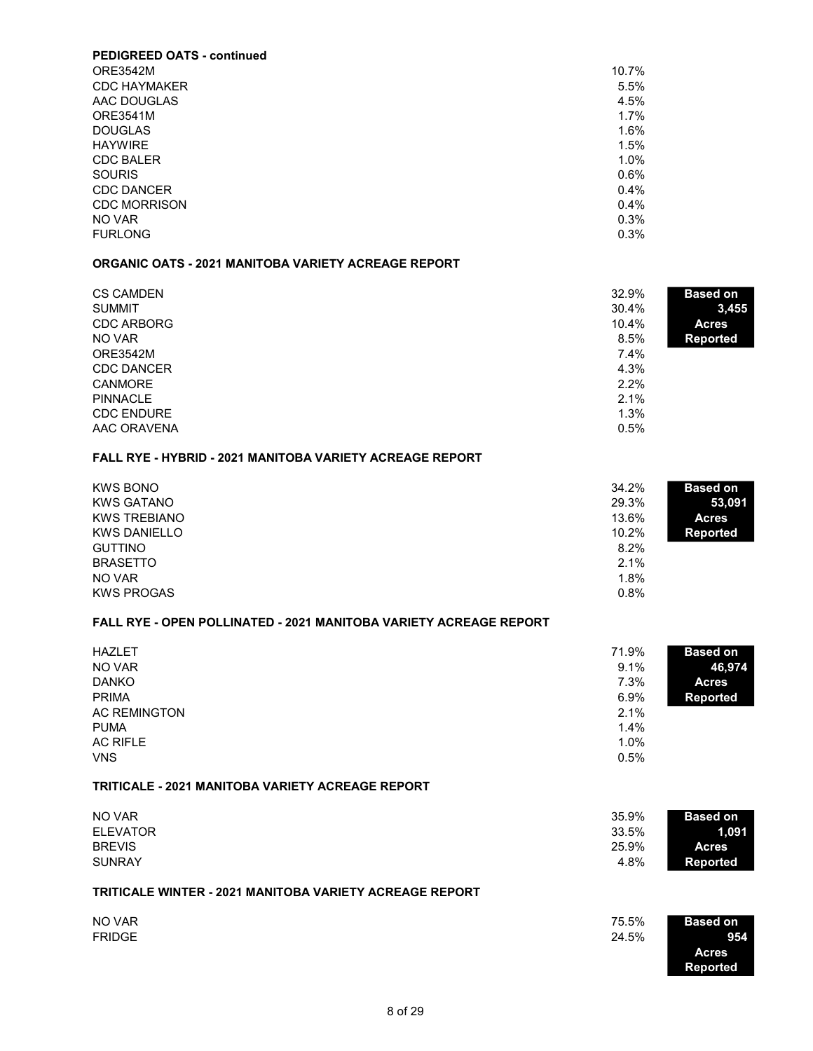| <b>PEDIGREED OATS - continued</b> |         |
|-----------------------------------|---------|
| <b>ORE3542M</b>                   | 10.7%   |
| <b>CDC HAYMAKER</b>               | 5.5%    |
| AAC DOUGLAS                       | 4.5%    |
| <b>ORE3541M</b>                   | 1.7%    |
| <b>DOUGLAS</b>                    | 1.6%    |
| <b>HAYWIRE</b>                    | 1.5%    |
| <b>CDC BALER</b>                  | 1.0%    |
| <b>SOURIS</b>                     | $0.6\%$ |
| CDC DANCER                        | 0.4%    |
| <b>CDC MORRISON</b>               | 0.4%    |
| NO VAR                            | 0.3%    |
| <b>FURLONG</b>                    | 0.3%    |

#### ORGANIC OATS - 2021 MANITOBA VARIETY ACREAGE REPORT

| <b>CS CAMDEN</b>  | 32.9%<br><b>Based on</b> |       |
|-------------------|--------------------------|-------|
| <b>SUMMIT</b>     | 30.4%                    | 3,455 |
| <b>CDC ARBORG</b> | 10.4%<br><b>Acres</b>    |       |
| NO VAR            | 8.5%<br><b>Reported</b>  |       |
| <b>ORE3542M</b>   | $7.4\%$                  |       |
| <b>CDC DANCER</b> | 4.3%                     |       |
| <b>CANMORE</b>    | $2.2\%$                  |       |
| <b>PINNACLE</b>   | 2.1%                     |       |
| <b>CDC ENDURE</b> | 1.3%                     |       |
| AAC ORAVENA       | 0.5%                     |       |

### FALL RYE - HYBRID - 2021 MANITOBA VARIETY ACREAGE REPORT

| <b>KWS BONO</b>     | 34.2%<br><b>Based on</b> |
|---------------------|--------------------------|
| <b>KWS GATANO</b>   | 29.3%<br>53,091          |
| <b>KWS TREBIANO</b> | 13.6%<br><b>Acres</b>    |
| <b>KWS DANIELLO</b> | 10.2%<br><b>Reported</b> |
| <b>GUTTINO</b>      | 8.2%                     |
| <b>BRASETTO</b>     | 2.1%                     |
| NO VAR              | 1.8%                     |
| <b>KWS PROGAS</b>   | 0.8%                     |

#### FALL RYE - OPEN POLLINATED - 2021 MANITOBA VARIETY ACREAGE REPORT

| <b>HAZLET</b><br>NO VAR<br><b>DANKO</b><br><b>PRIMA</b> | 71.9%<br>9.1%<br>7.3%<br>$6.9\%$ | <b>Based on</b><br>46,974<br><b>Acres</b><br><b>Reported</b> |
|---------------------------------------------------------|----------------------------------|--------------------------------------------------------------|
| <b>AC REMINGTON</b>                                     | 2.1%                             |                                                              |
| <b>PUMA</b>                                             | 1.4%                             |                                                              |
| <b>AC RIFLE</b>                                         | 1.0%                             |                                                              |
| <b>VNS</b>                                              | 0.5%                             |                                                              |

## TRITICALE - 2021 MANITOBA VARIETY ACREAGE REPORT

| NO VAR          | 35.9% | <b>Based on</b> |
|-----------------|-------|-----------------|
| <b>ELEVATOR</b> | 33.5% | 1.091           |
| <b>BREVIS</b>   | 25.9% | <b>Acres</b>    |
| <b>SUNRAY</b>   | 4.8%  | <b>Reported</b> |
|                 |       |                 |

## TRITICALE WINTER - 2021 MANITOBA VARIETY ACREAGE REPORT

| NO VAR        | 75.5%<br><b>Based on</b> |
|---------------|--------------------------|
| <b>FRIDGE</b> | 24.5%<br>954             |
|               | Acres                    |
|               | <b>Reported</b>          |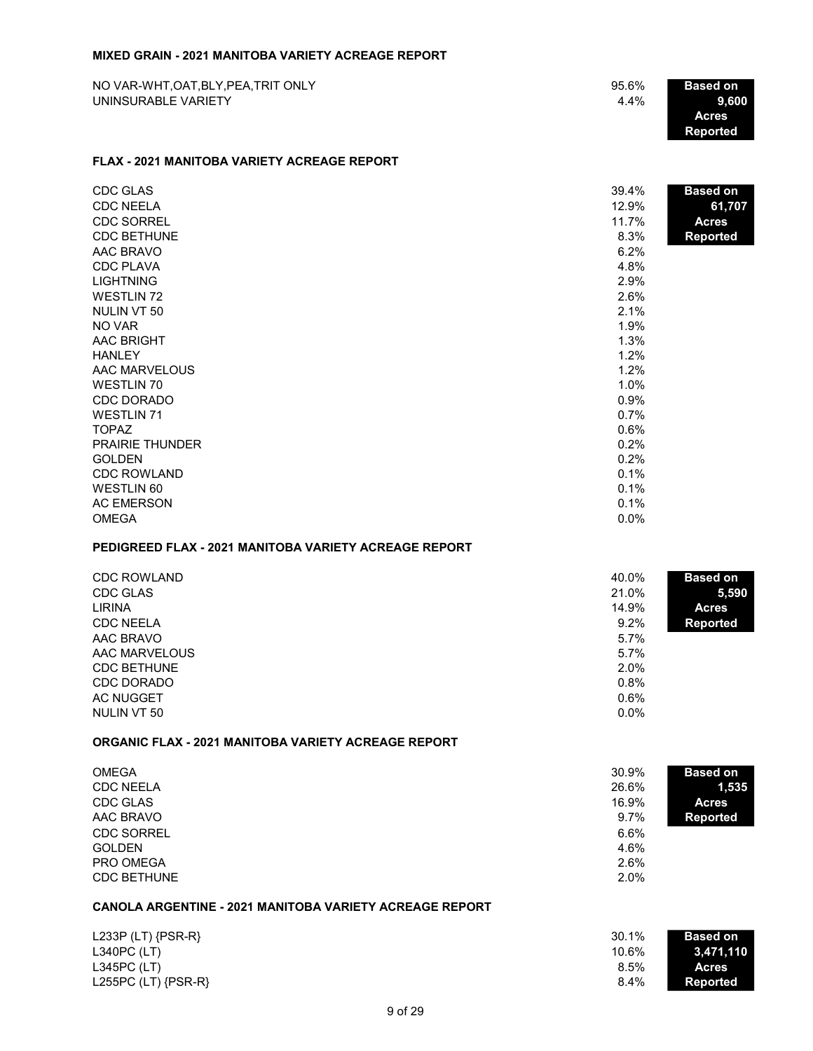#### MIXED GRAIN - 2021 MANITOBA VARIETY ACREAGE REPORT

| NO VAR-WHT, OAT, BLY, PEA, TRIT ONLY | 95.6% | <b>Based on</b>    |
|--------------------------------------|-------|--------------------|
| UNINSURABLE VARIETY                  | 4.4%  | 9.600              |
|                                      |       | <b>Acres</b>       |
|                                      |       | .Reported <b>\</b> |

#### FLAX - 2021 MANITOBA VARIETY ACREAGE REPORT

| CDC GLAS               | 39.4%   | <b>Based on</b> |
|------------------------|---------|-----------------|
| <b>CDC NEELA</b>       | 12.9%   | 61,707          |
| <b>CDC SORREL</b>      | 11.7%   | <b>Acres</b>    |
| <b>CDC BETHUNE</b>     | 8.3%    | <b>Reported</b> |
| AAC BRAVO              | 6.2%    |                 |
| <b>CDC PLAVA</b>       | 4.8%    |                 |
| <b>LIGHTNING</b>       | 2.9%    |                 |
| <b>WESTLIN 72</b>      | 2.6%    |                 |
| NULIN VT 50            | 2.1%    |                 |
| NO VAR                 | 1.9%    |                 |
| <b>AAC BRIGHT</b>      | 1.3%    |                 |
| <b>HANLEY</b>          | 1.2%    |                 |
| AAC MARVELOUS          | 1.2%    |                 |
| WESTLIN 70             | 1.0%    |                 |
| CDC DORADO             | 0.9%    |                 |
| <b>WESTLIN 71</b>      | 0.7%    |                 |
| <b>TOPAZ</b>           | 0.6%    |                 |
| <b>PRAIRIE THUNDER</b> | 0.2%    |                 |
| <b>GOLDEN</b>          | 0.2%    |                 |
| <b>CDC ROWLAND</b>     | 0.1%    |                 |
| <b>WESTLIN 60</b>      | 0.1%    |                 |
| <b>AC EMERSON</b>      | 0.1%    |                 |
| <b>OMEGA</b>           | $0.0\%$ |                 |

# PEDIGREED FLAX - 2021 MANITOBA VARIETY ACREAGE REPORT

| CDC ROWLAND<br>CDC GLAS | 40.0%<br>21.0% | <b>Based on</b><br>5,590 |
|-------------------------|----------------|--------------------------|
| <b>LIRINA</b>           | 14.9%          | <b>Acres</b>             |
| <b>CDC NEELA</b>        | 9.2%           | <b>Reported</b>          |
| AAC BRAVO               | 5.7%           |                          |
| AAC MARVELOUS           | 5.7%           |                          |
| <b>CDC BETHUNE</b>      | 2.0%           |                          |
| CDC DORADO              | 0.8%           |                          |
| AC NUGGET               | 0.6%           |                          |
| NULIN VT 50             | $0.0\%$        |                          |

## ORGANIC FLAX - 2021 MANITOBA VARIETY ACREAGE REPORT

| <b>OMEGA</b>       | 30.9% | <b>Based on</b> |
|--------------------|-------|-----------------|
| <b>CDC NEELA</b>   | 26.6% | 1,535           |
| CDC GLAS           | 16.9% | <b>Acres</b>    |
| AAC BRAVO          | 9.7%  | Reported        |
| <b>CDC SORREL</b>  | 6.6%  |                 |
| <b>GOLDEN</b>      | 4.6%  |                 |
| <b>PRO OMEGA</b>   | 2.6%  |                 |
| <b>CDC BETHUNE</b> | 2.0%  |                 |

# CANOLA ARGENTINE - 2021 MANITOBA VARIETY ACREAGE REPORT

| L233P (LT) $\{PSR-R\}$  | 30.1% | <b>Based on</b> |
|-------------------------|-------|-----------------|
| $L340PC$ (LT)           | 10.6% | 3,471,110       |
| $L345PC$ (LT)           | 8.5%  | <b>Acres</b>    |
| L255PC (LT) $\{PSR-R\}$ | 8.4%  | Reported        |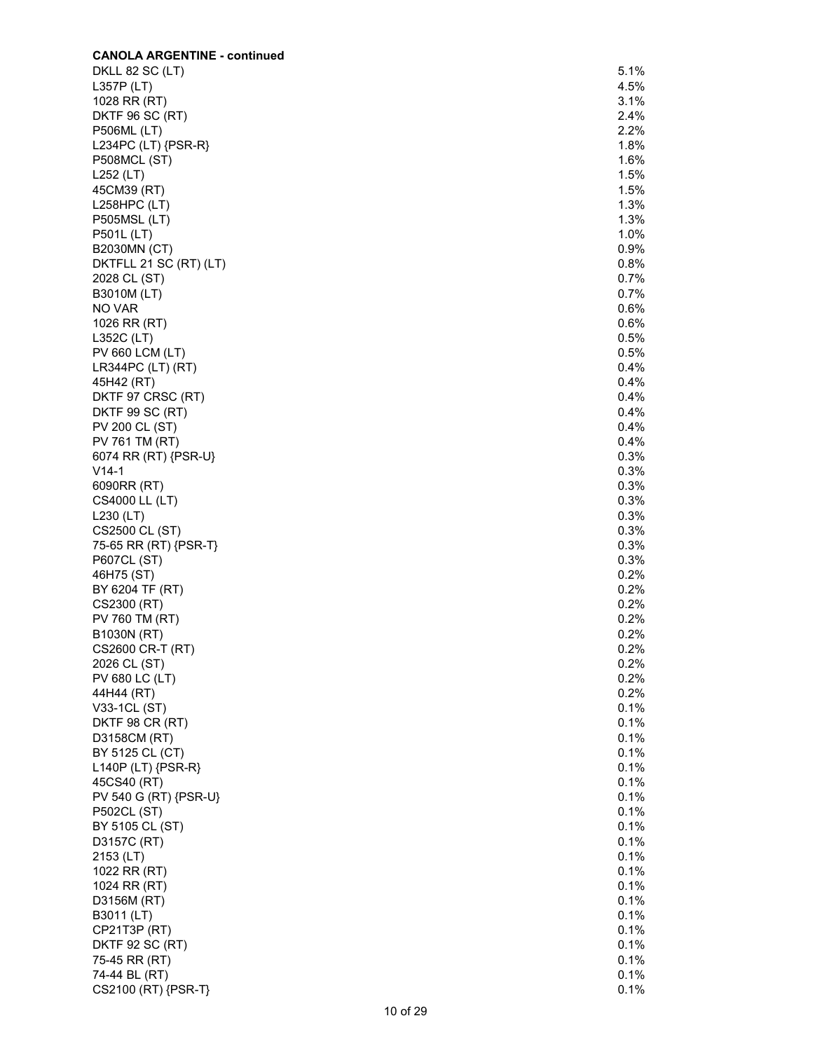| <b>CANOLA ARGENTINE - continued</b> |         |
|-------------------------------------|---------|
| DKLL 82 SC (LT)                     | 5.1%    |
| L357P (LT)                          | 4.5%    |
| 1028 RR (RT)                        | 3.1%    |
| <b>DKTF 96 SC (RT)</b>              | 2.4%    |
| <b>P506ML (LT)</b>                  | 2.2%    |
| L234PC (LT) {PSR-R}                 | 1.8%    |
| <b>P508MCL (ST)</b>                 | 1.6%    |
| L252 (LT)                           | 1.5%    |
| 45CM39 (RT)                         | 1.5%    |
| $L258HPC$ (LT)                      | 1.3%    |
| <b>P505MSL (LT)</b>                 | 1.3%    |
|                                     | 1.0%    |
| <b>P501L (LT)</b>                   |         |
| <b>B2030MN (CT)</b>                 | 0.9%    |
| DKTFLL 21 SC (RT) (LT)              | 0.8%    |
| 2028 CL (ST)                        | 0.7%    |
| B3010M (LT)                         | 0.7%    |
| NO VAR                              | 0.6%    |
| 1026 RR (RT)                        | 0.6%    |
| L352C (LT)                          | 0.5%    |
| <b>PV 660 LCM (LT)</b>              | 0.5%    |
| LR344PC (LT) (RT)                   | 0.4%    |
| 45H42 (RT)                          | 0.4%    |
| DKTF 97 CRSC (RT)                   | 0.4%    |
| <b>DKTF 99 SC (RT)</b>              | 0.4%    |
| <b>PV 200 CL (ST)</b>               | 0.4%    |
| PV 761 TM (RT)                      | 0.4%    |
|                                     |         |
| 6074 RR (RT) {PSR-U}                | 0.3%    |
| $V14-1$                             | 0.3%    |
| 6090RR (RT)                         | 0.3%    |
| CS4000 LL (LT)                      | 0.3%    |
| L230 (LT)                           | 0.3%    |
| CS2500 CL (ST)                      | 0.3%    |
| 75-65 RR (RT) {PSR-T}               | 0.3%    |
| P607CL (ST)                         | 0.3%    |
| 46H75 (ST)                          | 0.2%    |
| BY 6204 TF (RT)                     | 0.2%    |
| CS2300 (RT)                         | 0.2%    |
| PV 760 TM (RT)                      | 0.2%    |
| B1030N (RT)                         | 0.2%    |
| CS2600 CR-T (RT)                    | 0.2%    |
| 2026 CL (ST)                        | $0.2\%$ |
|                                     |         |
| <b>PV 680 LC (LT)</b>               | 0.2%    |
| 44H44 (RT)                          | 0.2%    |
| V33-1CL (ST)                        | 0.1%    |
| DKTF 98 CR (RT)                     | 0.1%    |
| D3158CM (RT)                        | 0.1%    |
| BY 5125 CL (CT)                     | 0.1%    |
| L140P (LT) {PSR-R}                  | 0.1%    |
| 45CS40 (RT)                         | 0.1%    |
| PV 540 G (RT) {PSR-U}               | 0.1%    |
| <b>P502CL (ST)</b>                  | 0.1%    |
| BY 5105 CL (ST)                     | 0.1%    |
| D3157C (RT)                         | 0.1%    |
| 2153 (LT)                           | 0.1%    |
| 1022 RR (RT)                        | 0.1%    |
|                                     | 0.1%    |
| 1024 RR (RT)                        |         |
| D3156M (RT)                         | 0.1%    |
| B3011 (LT)                          | 0.1%    |
| CP21T3P (RT)                        | 0.1%    |
| <b>DKTF 92 SC (RT)</b>              | 0.1%    |
| 75-45 RR (RT)                       | 0.1%    |
| 74-44 BL (RT)                       | 0.1%    |
| CS2100 (RT) {PSR-T}                 | 0.1%    |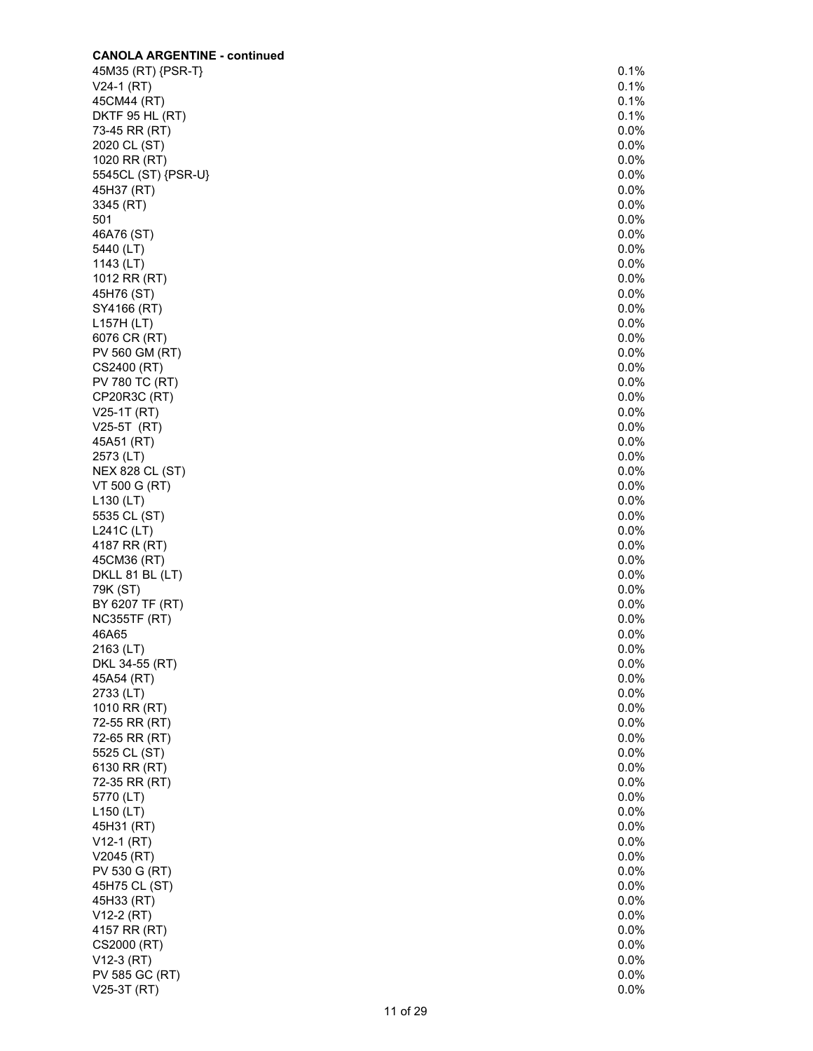| <b>CANOLA ARGENTINE - continued</b> |         |
|-------------------------------------|---------|
| 45M35 (RT) {PSR-T}                  | 0.1%    |
| $V24-1 (RT)$                        | 0.1%    |
| 45CM44 (RT)                         | 0.1%    |
| <b>DKTF 95 HL (RT)</b>              | 0.1%    |
| 73-45 RR (RT)                       | 0.0%    |
| 2020 CL (ST)                        | 0.0%    |
| 1020 RR (RT)                        | 0.0%    |
| 5545CL (ST) {PSR-U}                 | $0.0\%$ |
|                                     | $0.0\%$ |
| 45H37 (RT)                          |         |
| 3345 (RT)                           | $0.0\%$ |
| 501                                 | 0.0%    |
| 46A76 (ST)                          | 0.0%    |
| 5440 (LT)                           | 0.0%    |
| 1143 (LT)                           | 0.0%    |
| 1012 RR (RT)                        | 0.0%    |
| 45H76 (ST)                          | 0.0%    |
| SY4166 (RT)                         | $0.0\%$ |
| L157H (LT)                          | 0.0%    |
| 6076 CR (RT)                        | $0.0\%$ |
| PV 560 GM (RT)                      | 0.0%    |
| CS2400 (RT)                         | 0.0%    |
| PV 780 TC (RT)                      | $0.0\%$ |
|                                     | $0.0\%$ |
| CP20R3C (RT)                        |         |
| V25-1T (RT)                         | 0.0%    |
| V25-5T (RT)                         | 0.0%    |
| 45A51 (RT)                          | 0.0%    |
| 2573 (LT)                           | 0.0%    |
| <b>NEX 828 CL (ST)</b>              | 0.0%    |
| VT 500 G (RT)                       | 0.0%    |
| L130 (LT)                           | 0.0%    |
| 5535 CL (ST)                        | $0.0\%$ |
| $L241C$ (LT)                        | 0.0%    |
| 4187 RR (RT)                        | 0.0%    |
| 45CM36 (RT)                         | 0.0%    |
| DKLL 81 BL (LT)                     | 0.0%    |
| 79K (ST)                            | 0.0%    |
| BY 6207 TF (RT)                     | $0.0\%$ |
| <b>NC355TF (RT)</b>                 | 0.0%    |
| 46A65                               | 0.0%    |
| 2163 (LT)                           | 0.0%    |
| DKL 34-55 (RT)                      | 0.0%    |
| 45A54 (RT)                          | 0.0%    |
|                                     | 0.0%    |
| 2733 (LT)                           |         |
| 1010 RR (RT)                        | 0.0%    |
| 72-55 RR (RT)                       | $0.0\%$ |
| 72-65 RR (RT)                       | 0.0%    |
| 5525 CL (ST)                        | 0.0%    |
| 6130 RR (RT)                        | 0.0%    |
| 72-35 RR (RT)                       | 0.0%    |
| 5770 (LT)                           | 0.0%    |
| L150 (LT)                           | 0.0%    |
| 45H31 (RT)                          | 0.0%    |
| $V12-1 (RT)$                        | 0.0%    |
| V2045 (RT)                          | 0.0%    |
| PV 530 G (RT)                       | $0.0\%$ |
| 45H75 CL (ST)                       | 0.0%    |
| 45H33 (RT)                          | 0.0%    |
| V12-2 (RT)                          | 0.0%    |
| 4157 RR (RT)                        | 0.0%    |
|                                     |         |
| CS2000 (RT)                         | 0.0%    |
| V12-3 (RT)                          | 0.0%    |
| PV 585 GC (RT)                      | 0.0%    |
| V25-3T (RT)                         | 0.0%    |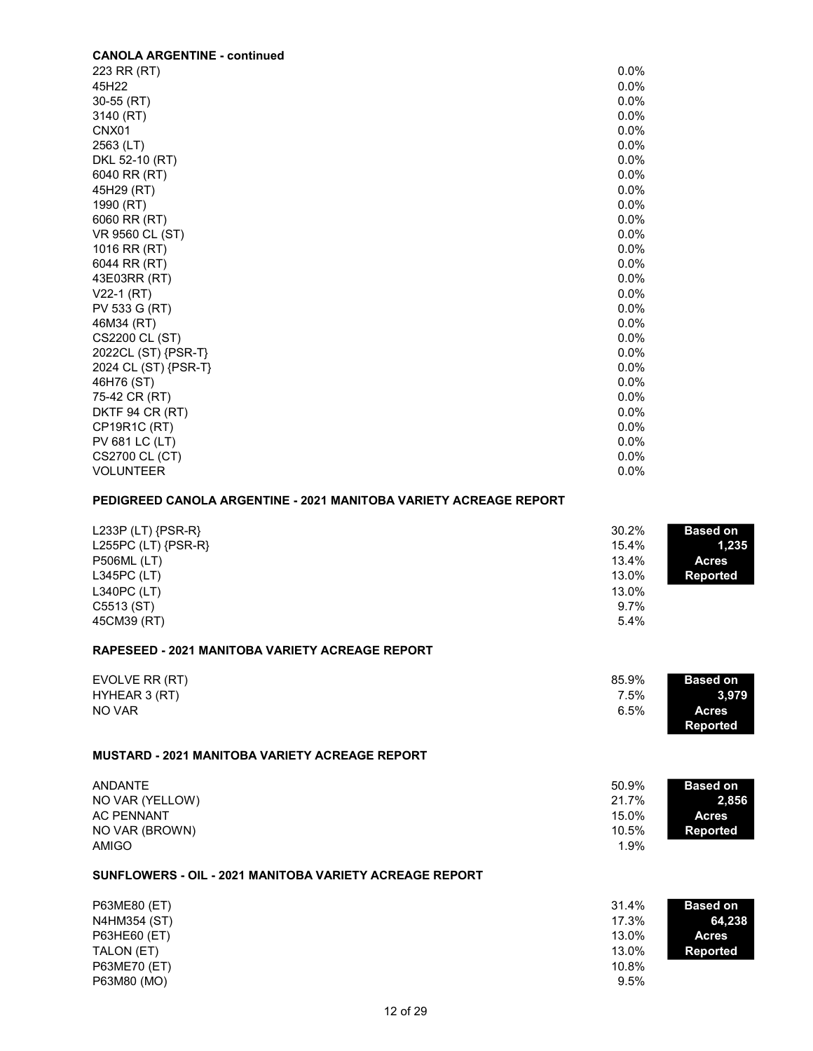| <b>CANOLA ARGENTINE - continued</b> |         |
|-------------------------------------|---------|
| 223 RR (RT)                         | $0.0\%$ |
| 45H22                               | $0.0\%$ |
| 30-55 (RT)                          | $0.0\%$ |
| 3140 (RT)                           | $0.0\%$ |
| CNX <sub>01</sub>                   | $0.0\%$ |
| 2563 (LT)                           | 0.0%    |
| DKL 52-10 (RT)                      | $0.0\%$ |
| 6040 RR (RT)                        | $0.0\%$ |
| 45H29 (RT)                          | 0.0%    |
| 1990 (RT)                           | $0.0\%$ |
| 6060 RR (RT)                        | $0.0\%$ |
| VR 9560 CL (ST)                     | $0.0\%$ |
| 1016 RR (RT)                        | 0.0%    |
| 6044 RR (RT)                        | $0.0\%$ |
| 43E03RR (RT)                        | $0.0\%$ |
| $V22-1 (RT)$                        | $0.0\%$ |
| PV 533 G (RT)                       | $0.0\%$ |
| 46M34 (RT)                          | 0.0%    |
| CS2200 CL (ST)                      | $0.0\%$ |
| 2022CL (ST) {PSR-T}                 | $0.0\%$ |
| 2024 CL (ST) {PSR-T}                | 0.0%    |
| 46H76 (ST)                          | $0.0\%$ |
| 75-42 CR (RT)                       | $0.0\%$ |
| DKTF 94 CR (RT)                     | 0.0%    |
| CP19R1C (RT)                        | 0.0%    |
| PV 681 LC (LT)                      | $0.0\%$ |
| CS2700 CL (CT)                      | $0.0\%$ |
| <b>VOLUNTEER</b>                    | 0.0%    |

## PEDIGREED CANOLA ARGENTINE - 2021 MANITOBA VARIETY ACREAGE REPORT

| 30.2% | <b>Based on</b> |
|-------|-----------------|
| 15.4% | 1,235           |
| 13.4% | <b>Acres</b>    |
| 13.0% | Reported        |
| 13.0% |                 |
| 9.7%  |                 |
| 5.4%  |                 |
|       |                 |
| 85.9% | <b>Based on</b> |
| 7.5%  | 3,979           |
| 6.5%  | <b>Acres</b>    |
|       | <b>Reported</b> |
|       |                 |
| 50.9% | <b>Based on</b> |
| 21.7% | 2,856           |
| 15.0% | <b>Acres</b>    |
| 10.5% | Reported        |
| 1.9%  |                 |
|       |                 |
| 31.4% | <b>Based on</b> |
| 17.3% | 64,238          |
| 13.0% | <b>Acres</b>    |
| 13.0% | <b>Reported</b> |
| 10.8% |                 |
|       |                 |

 $P63M80$  (MO) 6,123  $\pm$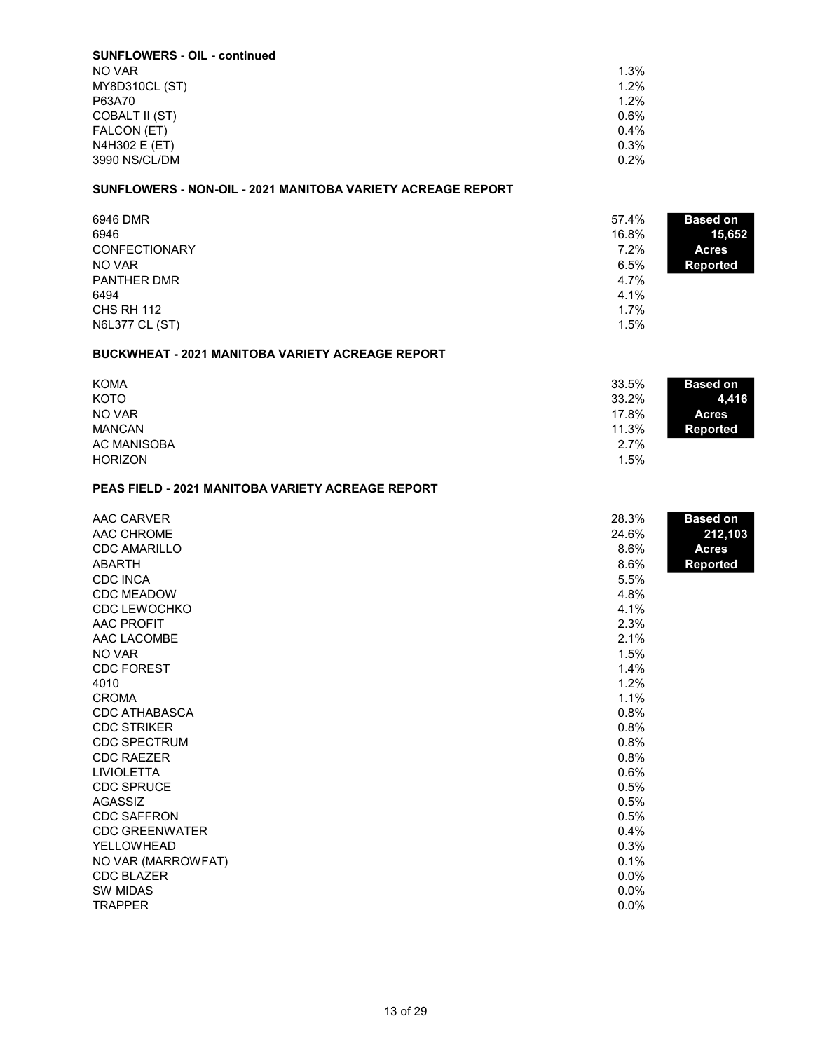| <b>SUNFLOWERS - OIL - continued</b> |         |
|-------------------------------------|---------|
| NO VAR                              | $1.3\%$ |
| <b>MY8D310CL (ST)</b>               | 1.2%    |
| P63A70                              | 1.2%    |
| COBALT II (ST)                      | 0.6%    |
| FALCON (ET)                         | $0.4\%$ |
| N4H302 E (ET)                       | 0.3%    |
| 3990 NS/CL/DM                       | 0.2%    |

# SUNFLOWERS - NON-OIL - 2021 MANITOBA VARIETY ACREAGE REPORT

| 6946 DMR<br>57.4%             | <b>Based on</b> |
|-------------------------------|-----------------|
| 6946<br>16.8%                 | 15,652          |
| <b>CONFECTIONARY</b><br>7.2%  | <b>Acres</b>    |
| NO VAR<br>6.5%                | <b>Reported</b> |
| <b>PANTHER DMR</b><br>4.7%    |                 |
| 4.1%<br>6494                  |                 |
| CHS RH 112<br>1.7%            |                 |
| <b>N6L377 CL (ST)</b><br>1.5% |                 |

## BUCKWHEAT - 2021 MANITOBA VARIETY ACREAGE REPORT

| <b>KOMA</b>    | 33.5%<br><b>Based on</b> |  |
|----------------|--------------------------|--|
| <b>KOTO</b>    | 33.2%<br>4,416           |  |
| NO VAR         | 17.8%<br><b>Acres</b>    |  |
| <b>MANCAN</b>  | 11.3%<br>Reported        |  |
| AC MANISOBA    | 2.7%                     |  |
| <b>HORIZON</b> | 1.5%                     |  |

## PEAS FIELD - 2021 MANITOBA VARIETY ACREAGE REPORT

| AAC CARVER<br>AAC CHROME<br><b>CDC AMARILLO</b><br>ABARTH | 28.3%<br>24.6%<br>8.6%<br>8.6% | <b>Based on</b><br>212,103<br><b>Acres</b><br><b>Reported</b> |
|-----------------------------------------------------------|--------------------------------|---------------------------------------------------------------|
| <b>CDC INCA</b>                                           | 5.5%                           |                                                               |
| <b>CDC MEADOW</b>                                         | 4.8%                           |                                                               |
| <b>CDC LEWOCHKO</b>                                       | 4.1%                           |                                                               |
| <b>AAC PROFIT</b>                                         | 2.3%                           |                                                               |
| AAC LACOMBE                                               | 2.1%                           |                                                               |
| NO VAR                                                    | 1.5%                           |                                                               |
| <b>CDC FOREST</b>                                         | 1.4%                           |                                                               |
| 4010                                                      | 1.2%                           |                                                               |
| <b>CROMA</b>                                              | 1.1%                           |                                                               |
| CDC ATHABASCA                                             | 0.8%                           |                                                               |
| <b>CDC STRIKER</b>                                        | 0.8%                           |                                                               |
| <b>CDC SPECTRUM</b>                                       | 0.8%                           |                                                               |
| <b>CDC RAEZER</b>                                         | 0.8%                           |                                                               |
| <b>LIVIOLETTA</b>                                         | 0.6%                           |                                                               |
| <b>CDC SPRUCE</b>                                         | 0.5%                           |                                                               |
| AGASSIZ                                                   | 0.5%                           |                                                               |
| <b>CDC SAFFRON</b>                                        | 0.5%                           |                                                               |
| <b>CDC GREENWATER</b>                                     | 0.4%                           |                                                               |
| <b>YELLOWHEAD</b>                                         | 0.3%                           |                                                               |
| NO VAR (MARROWFAT)                                        | 0.1%                           |                                                               |
| <b>CDC BLAZER</b>                                         | 0.0%                           |                                                               |
| <b>SW MIDAS</b>                                           | 0.0%                           |                                                               |
| <b>TRAPPER</b>                                            | 0.0%                           |                                                               |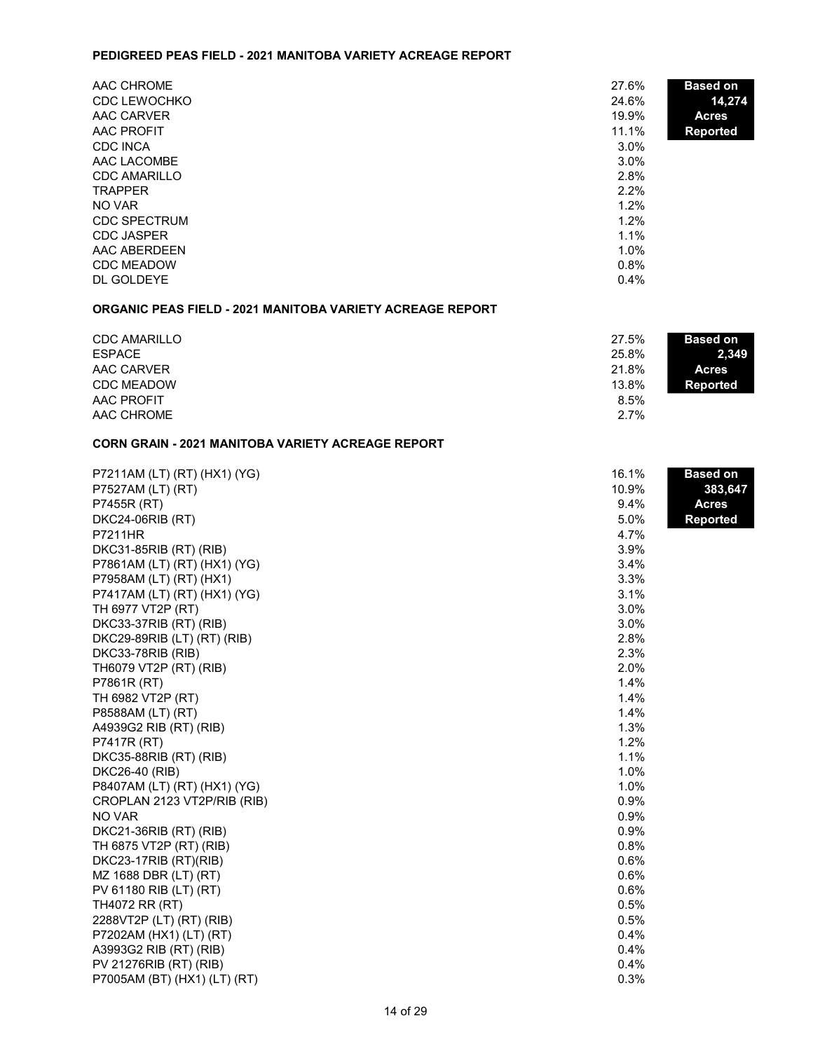### PEDIGREED PEAS FIELD - 2021 MANITOBA VARIETY ACREAGE REPORT

| AAC CHROME          | 27.6%   | <b>Based on</b> |
|---------------------|---------|-----------------|
| <b>CDC LEWOCHKO</b> | 24.6%   | 14,274          |
| AAC CARVER          | 19.9%   | <b>Acres</b>    |
| AAC PROFIT          | 11.1%   | <b>Reported</b> |
| <b>CDC INCA</b>     | $3.0\%$ |                 |
| AAC LACOMBE         | $3.0\%$ |                 |
| <b>CDC AMARILLO</b> | 2.8%    |                 |
| <b>TRAPPER</b>      | 2.2%    |                 |
| NO VAR              | $1.2\%$ |                 |
| <b>CDC SPECTRUM</b> | $1.2\%$ |                 |
| <b>CDC JASPER</b>   | 1.1%    |                 |
| AAC ABERDEEN        | $1.0\%$ |                 |
| <b>CDC MEADOW</b>   | 0.8%    |                 |
| DL GOLDEYE          | 0.4%    |                 |

## ORGANIC PEAS FIELD - 2021 MANITOBA VARIETY ACREAGE REPORT

| <b>CDC AMARILLO</b> | 27.5%<br><b>Based on</b> |  |
|---------------------|--------------------------|--|
| <b>ESPACE</b>       | 25.8%<br>2,349           |  |
| AAC CARVER          | 21.8%<br><b>Acres</b>    |  |
| <b>CDC MEADOW</b>   | 13.8%<br>Reported        |  |
| AAC PROFIT          | 8.5%                     |  |
| AAC CHROME          | 2.7%                     |  |

### CORN GRAIN - 2021 MANITOBA VARIETY ACREAGE REPORT

| P7211AM (LT) (RT) (HX1) (YG) | 16.1% | <b>Based on</b> |
|------------------------------|-------|-----------------|
| P7527AM (LT) (RT)            | 10.9% | 383,647         |
| P7455R (RT)                  | 9.4%  | <b>Acres</b>    |
| <b>DKC24-06RIB (RT)</b>      | 5.0%  | <b>Reported</b> |
| <b>P7211HR</b>               | 4.7%  |                 |
| DKC31-85RIB (RT) (RIB)       | 3.9%  |                 |
| P7861AM (LT) (RT) (HX1) (YG) | 3.4%  |                 |
| P7958AM (LT) (RT) (HX1)      | 3.3%  |                 |
| P7417AM (LT) (RT) (HX1) (YG) | 3.1%  |                 |
| TH 6977 VT2P (RT)            | 3.0%  |                 |
| DKC33-37RIB (RT) (RIB)       | 3.0%  |                 |
| DKC29-89RIB (LT) (RT) (RIB)  | 2.8%  |                 |
| DKC33-78RIB (RIB)            | 2.3%  |                 |
| TH6079 VT2P (RT) (RIB)       | 2.0%  |                 |
| P7861R (RT)                  | 1.4%  |                 |
| TH 6982 VT2P (RT)            | 1.4%  |                 |
| P8588AM (LT) (RT)            | 1.4%  |                 |
| A4939G2 RIB (RT) (RIB)       | 1.3%  |                 |
| P7417R (RT)                  | 1.2%  |                 |
| DKC35-88RIB (RT) (RIB)       | 1.1%  |                 |
| DKC26-40 (RIB)               | 1.0%  |                 |
| P8407AM (LT) (RT) (HX1) (YG) | 1.0%  |                 |
| CROPLAN 2123 VT2P/RIB (RIB)  | 0.9%  |                 |
| NO VAR                       | 0.9%  |                 |
| DKC21-36RIB (RT) (RIB)       | 0.9%  |                 |
| TH 6875 VT2P (RT) (RIB)      | 0.8%  |                 |
| DKC23-17RIB (RT)(RIB)        | 0.6%  |                 |
| MZ 1688 DBR (LT) (RT)        | 0.6%  |                 |
| PV 61180 RIB (LT) (RT)       | 0.6%  |                 |
| TH4072 RR (RT)               | 0.5%  |                 |
| 2288VT2P (LT) (RT) (RIB)     | 0.5%  |                 |
| P7202AM (HX1) (LT) (RT)      | 0.4%  |                 |
| A3993G2 RIB (RT) (RIB)       | 0.4%  |                 |
| PV 21276RIB (RT) (RIB)       | 0.4%  |                 |
| P7005AM (BT) (HX1) (LT) (RT) | 0.3%  |                 |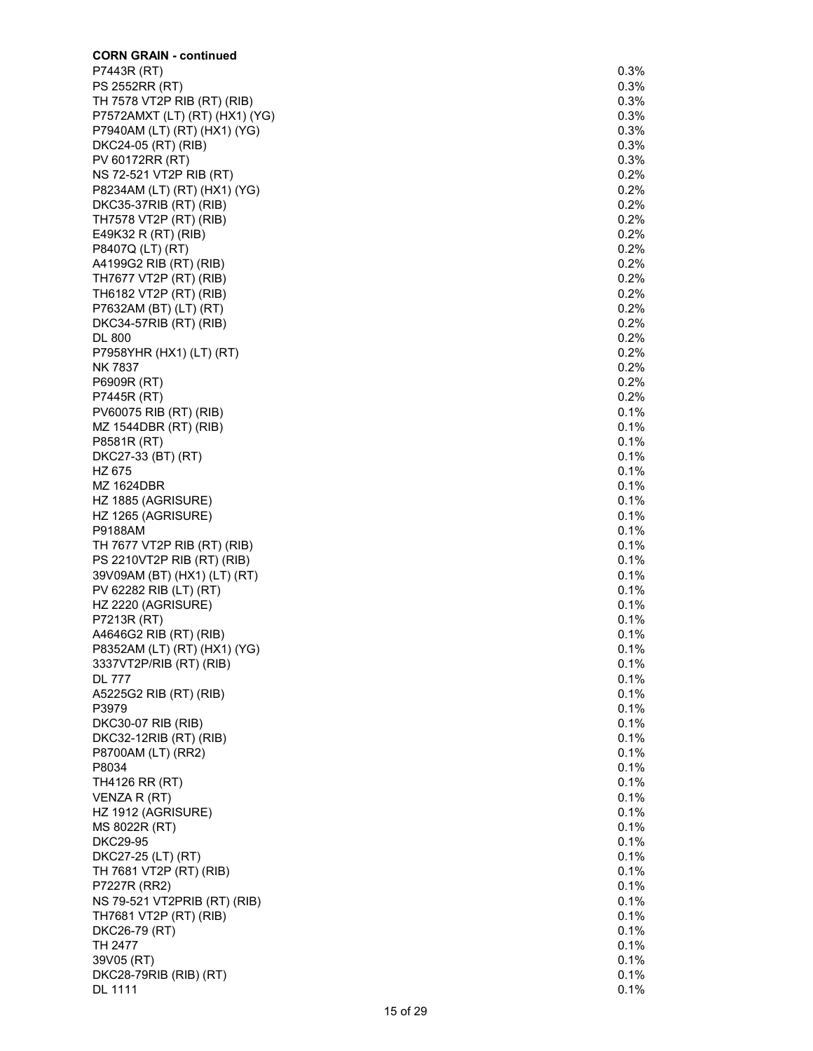| <b>CORN GRAIN - continued</b>                          |              |
|--------------------------------------------------------|--------------|
| P7443R (RT)                                            | 0.3%         |
| PS 2552RR (RT)                                         | 0.3%         |
| TH 7578 VT2P RIB (RT) (RIB)                            | 0.3%         |
| P7572AMXT (LT) (RT) (HX1) (YG)                         | 0.3%<br>0.3% |
| P7940AM (LT) (RT) (HX1) (YG)<br>DKC24-05 (RT) (RIB)    | 0.3%         |
| PV 60172RR (RT)                                        | 0.3%         |
| NS 72-521 VT2P RIB (RT)                                | 0.2%         |
| P8234AM (LT) (RT) (HX1) (YG)                           | 0.2%         |
| DKC35-37RIB (RT) (RIB)                                 | 0.2%         |
| TH7578 VT2P (RT) (RIB)                                 | 0.2%         |
| E49K32 R (RT) (RIB)                                    | 0.2%         |
| P8407Q (LT) (RT)                                       | 0.2%         |
| A4199G2 RIB (RT) (RIB)<br>TH7677 VT2P (RT) (RIB)       | 0.2%<br>0.2% |
| TH6182 VT2P (RT) (RIB)                                 | 0.2%         |
| P7632AM (BT) (LT) (RT)                                 | 0.2%         |
| DKC34-57RIB (RT) (RIB)                                 | 0.2%         |
| <b>DL 800</b>                                          | 0.2%         |
| P7958YHR (HX1) (LT) (RT)                               | 0.2%         |
| <b>NK 7837</b>                                         | 0.2%         |
| P6909R (RT)                                            | 0.2%         |
| P7445R (RT)                                            | 0.2%         |
| PV60075 RIB (RT) (RIB)                                 | 0.1%         |
| MZ 1544DBR (RT) (RIB)<br>P8581R (RT)                   | 0.1%<br>0.1% |
| DKC27-33 (BT) (RT)                                     | 0.1%         |
| HZ 675                                                 | 0.1%         |
| MZ 1624DBR                                             | 0.1%         |
| HZ 1885 (AGRISURE)                                     | 0.1%         |
| HZ 1265 (AGRISURE)                                     | 0.1%         |
| P9188AM                                                | 0.1%         |
| TH 7677 VT2P RIB (RT) (RIB)                            | 0.1%         |
| PS 2210VT2P RIB (RT) (RIB)                             | 0.1%         |
| 39V09AM (BT) (HX1) (LT) (RT)<br>PV 62282 RIB (LT) (RT) | 0.1%<br>0.1% |
| HZ 2220 (AGRISURE)                                     | 0.1%         |
| P7213R (RT)                                            | 0.1%         |
| A4646G2 RIB (RT) (RIB)                                 | 0.1%         |
| P8352AM (LT) (RT) (HX1) (YG)                           | 0.1%         |
| 3337VT2P/RIB (RT) (RIB)                                | 0.1%         |
| <b>DL 777</b>                                          | 0.1%         |
| A5225G2 RIB (RT) (RIB)                                 | 0.1%         |
| P3979                                                  | 0.1%         |
| DKC30-07 RIB (RIB)<br>DKC32-12RIB (RT) (RIB)           | 0.1%<br>0.1% |
| P8700AM (LT) (RR2)                                     | 0.1%         |
| P8034                                                  | 0.1%         |
| TH4126 RR (RT)                                         | 0.1%         |
| VENZA R (RT)                                           | 0.1%         |
| HZ 1912 (AGRISURE)                                     | 0.1%         |
| MS 8022R (RT)                                          | 0.1%         |
| <b>DKC29-95</b>                                        | 0.1%         |
| DKC27-25 (LT) (RT)                                     | 0.1%         |
| TH 7681 VT2P (RT) (RIB)<br>P7227R (RR2)                | 0.1%<br>0.1% |
| NS 79-521 VT2PRIB (RT) (RIB)                           | 0.1%         |
| TH7681 VT2P (RT) (RIB)                                 | 0.1%         |
| DKC26-79 (RT)                                          | 0.1%         |
| TH 2477                                                | 0.1%         |
| 39V05 (RT)                                             | 0.1%         |
| DKC28-79RIB (RIB) (RT)                                 | 0.1%         |
| DL 1111                                                | 0.1%         |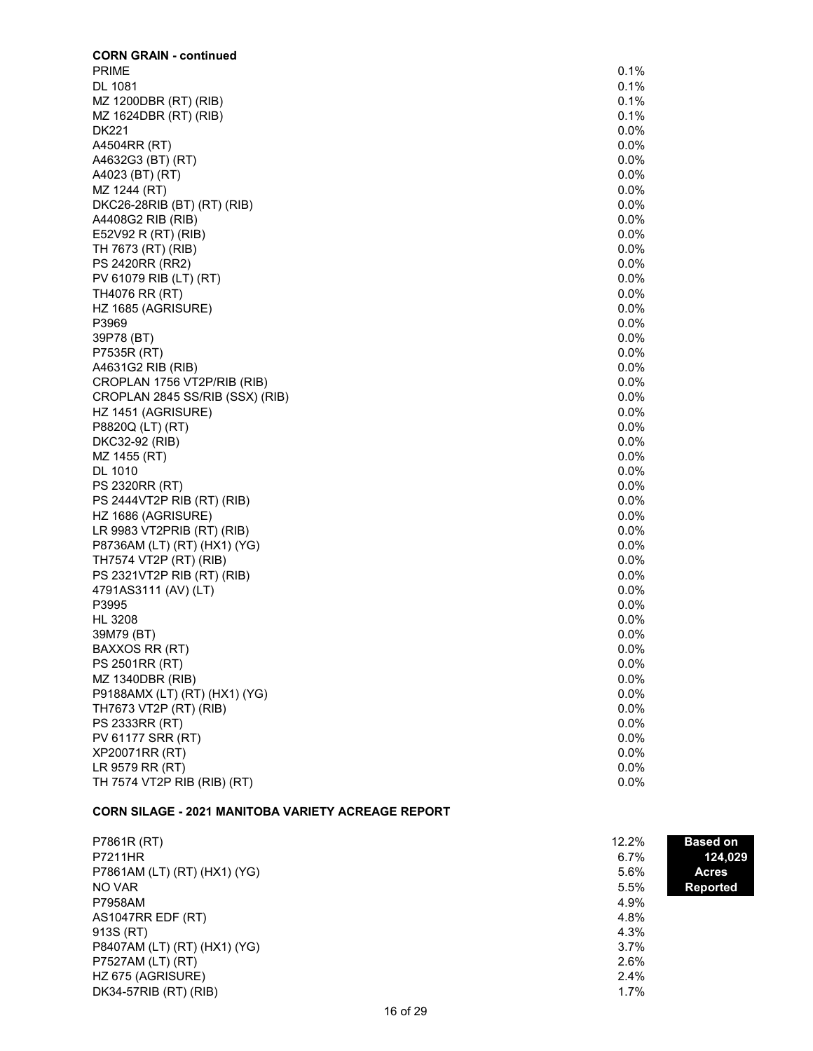| <b>CORN GRAIN - continued</b>   |         |
|---------------------------------|---------|
| <b>PRIME</b>                    | 0.1%    |
| DL 1081                         | $0.1\%$ |
| MZ 1200DBR (RT) (RIB)           | 0.1%    |
| MZ 1624DBR (RT) (RIB)           | 0.1%    |
| <b>DK221</b>                    | $0.0\%$ |
|                                 | $0.0\%$ |
| A4504RR (RT)                    |         |
| A4632G3 (BT) (RT)               | $0.0\%$ |
| A4023 (BT) (RT)                 | $0.0\%$ |
| MZ 1244 (RT)                    | $0.0\%$ |
| DKC26-28RIB (BT) (RT) (RIB)     | $0.0\%$ |
| A4408G2 RIB (RIB)               | $0.0\%$ |
| E52V92 R (RT) (RIB)             | 0.0%    |
| TH 7673 (RT) (RIB)              | $0.0\%$ |
| PS 2420RR (RR2)                 | $0.0\%$ |
| PV 61079 RIB (LT) (RT)          | $0.0\%$ |
| TH4076 RR (RT)                  | $0.0\%$ |
|                                 | $0.0\%$ |
| HZ 1685 (AGRISURE)              |         |
| P3969                           | 0.0%    |
| 39P78 (BT)                      | $0.0\%$ |
| P7535R (RT)                     | $0.0\%$ |
| A4631G2 RIB (RIB)               | $0.0\%$ |
| CROPLAN 1756 VT2P/RIB (RIB)     | $0.0\%$ |
| CROPLAN 2845 SS/RIB (SSX) (RIB) | $0.0\%$ |
| HZ 1451 (AGRISURE)              | $0.0\%$ |
| P8820Q (LT) (RT)                | 0.0%    |
| DKC32-92 (RIB)                  | $0.0\%$ |
| MZ 1455 (RT)                    | $0.0\%$ |
| DL 1010                         | $0.0\%$ |
|                                 |         |
| PS 2320RR (RT)                  | $0.0\%$ |
| PS 2444VT2P RIB (RT) (RIB)      | $0.0\%$ |
| HZ 1686 (AGRISURE)              | $0.0\%$ |
| LR 9983 VT2PRIB (RT) (RIB)      | $0.0\%$ |
| P8736AM (LT) (RT) (HX1) (YG)    | $0.0\%$ |
| TH7574 VT2P (RT) (RIB)          | $0.0\%$ |
| PS 2321VT2P RIB (RT) (RIB)      | $0.0\%$ |
| 4791AS3111 (AV) (LT)            | $0.0\%$ |
| P3995                           | $0.0\%$ |
| HL 3208                         | $0.0\%$ |
| 39M79 (BT)                      | $0.0\%$ |
|                                 | $0.0\%$ |
| <b>BAXXOS RR (RT)</b>           |         |
| PS 2501RR (RT)                  | $0.0\%$ |
| MZ 1340DBR (RIB)                | $0.0\%$ |
| P9188AMX (LT) (RT) (HX1) (YG)   | $0.0\%$ |
| TH7673 VT2P (RT) (RIB)          | $0.0\%$ |
| PS 2333RR (RT)                  | $0.0\%$ |
| PV 61177 SRR (RT)               | $0.0\%$ |
| XP20071RR (RT)                  | $0.0\%$ |
| LR 9579 RR (RT)                 | 0.0%    |
| TH 7574 VT2P RIB (RIB) (RT)     | $0.0\%$ |
|                                 |         |
|                                 |         |

# CORN SILAGE - 2021 MANITOBA VARIETY ACREAGE REPORT

| P7861R (RT)                  | 12.2%   | <b>Based on</b> |
|------------------------------|---------|-----------------|
| <b>P7211HR</b>               | $6.7\%$ | 124,029         |
| P7861AM (LT) (RT) (HX1) (YG) | 5.6%    | <b>Acres</b>    |
| NO VAR                       | 5.5%    | Reported        |
| P7958AM                      | 4.9%    |                 |
| AS1047RR EDF (RT)            | 4.8%    |                 |
| 913S (RT)                    | 4.3%    |                 |
| P8407AM (LT) (RT) (HX1) (YG) | $3.7\%$ |                 |
| P7527AM (LT) (RT)            | 2.6%    |                 |
| HZ 675 (AGRISURE)            | $2.4\%$ |                 |
| DK34-57RIB (RT) (RIB)        | 1.7%    |                 |
|                              |         |                 |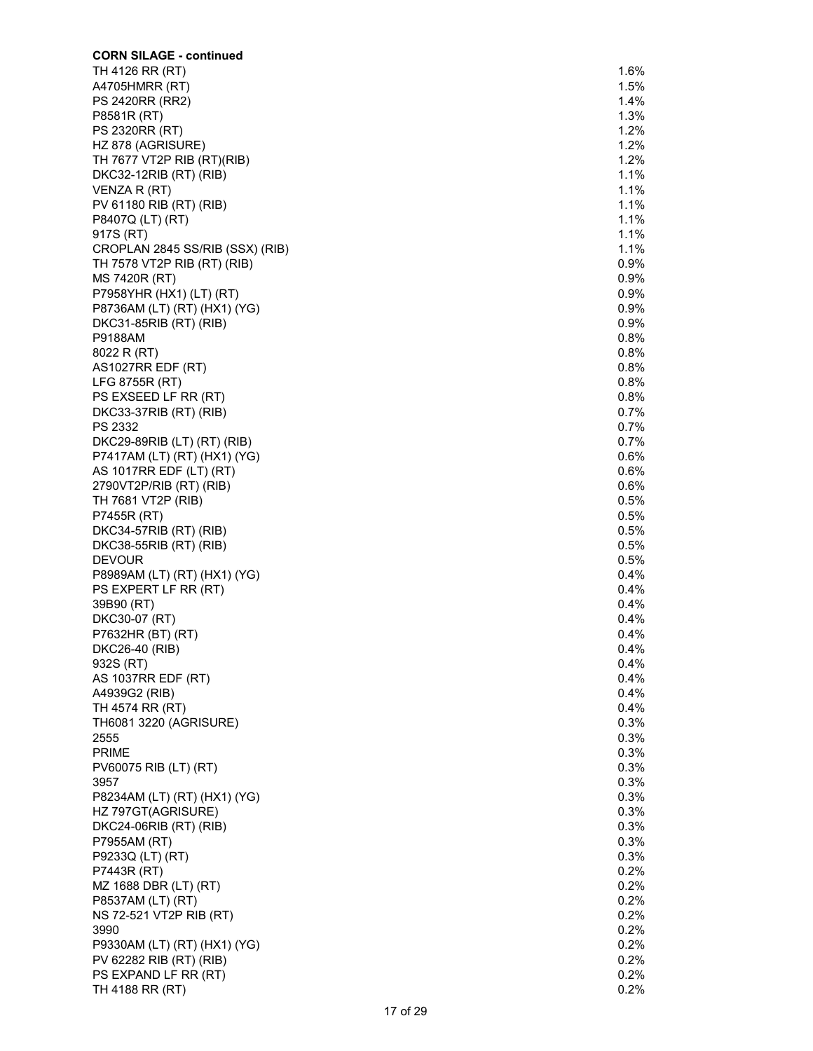| <b>CORN SILAGE - continued</b>                  |                    |
|-------------------------------------------------|--------------------|
| TH 4126 RR (RT)                                 | 1.6%               |
| A4705HMRR (RT)                                  | 1.5%               |
| <b>PS 2420RR (RR2)</b>                          | 1.4%               |
| P8581R (RT)                                     | 1.3%               |
| PS 2320RR (RT)                                  | 1.2%               |
| HZ 878 (AGRISURE)<br>TH 7677 VT2P RIB (RT)(RIB) | 1.2%<br>1.2%       |
| DKC32-12RIB (RT) (RIB)                          | 1.1%               |
| VENZA R (RT)                                    | 1.1%               |
| PV 61180 RIB (RT) (RIB)                         | 1.1%               |
| P8407Q (LT) (RT)                                | 1.1%               |
| 917S (RT)                                       | 1.1%               |
| CROPLAN 2845 SS/RIB (SSX) (RIB)                 | $1.1\%$            |
| TH 7578 VT2P RIB (RT) (RIB)                     | $0.9\%$            |
| MS 7420R (RT)                                   | 0.9%               |
| P7958YHR (HX1) (LT) (RT)                        | 0.9%               |
| P8736AM (LT) (RT) (HX1) (YG)                    | 0.9%<br>0.9%       |
| DKC31-85RIB (RT) (RIB)<br>P9188AM               | 0.8%               |
| 8022 R (RT)                                     | 0.8%               |
| AS1027RR EDF (RT)                               | 0.8%               |
| LFG 8755R (RT)                                  | 0.8%               |
| PS EXSEED LF RR (RT)                            | 0.8%               |
| DKC33-37RIB (RT) (RIB)                          | 0.7%               |
| PS 2332                                         | 0.7%               |
| DKC29-89RIB (LT) (RT) (RIB)                     | 0.7%               |
| P7417AM (LT) (RT) (HX1) (YG)                    | 0.6%               |
| AS 1017RR EDF (LT) (RT)                         | 0.6%               |
| 2790VT2P/RIB (RT) (RIB)<br>TH 7681 VT2P (RIB)   | 0.6%<br>0.5%       |
| P7455R (RT)                                     | 0.5%               |
| DKC34-57RIB (RT) (RIB)                          | 0.5%               |
| DKC38-55RIB (RT) (RIB)                          | 0.5%               |
| <b>DEVOUR</b>                                   | 0.5%               |
| P8989AM (LT) (RT) (HX1) (YG)                    | 0.4%               |
| PS EXPERT LF RR (RT)                            | 0.4%               |
| 39B90 (RT)                                      | 0.4%               |
| DKC30-07 (RT)                                   | 0.4%               |
| P7632HR (BT) (RT)                               | 0.4%               |
| DKC26-40 (RIB)<br>932S (RT)                     | $0.4\%$<br>$0.4\%$ |
| AS 1037RR EDF (RT)                              | $0.4\%$            |
| A4939G2 (RIB)                                   | $0.4\%$            |
| TH 4574 RR (RT)                                 | 0.4%               |
| TH6081 3220 (AGRISURE)                          | 0.3%               |
| 2555                                            | 0.3%               |
| <b>PRIME</b>                                    | 0.3%               |
| PV60075 RIB (LT) (RT)                           | 0.3%               |
| 3957                                            | 0.3%               |
| P8234AM (LT) (RT) (HX1) (YG)                    | 0.3%<br>0.3%       |
| HZ 797GT(AGRISURE)<br>DKC24-06RIB (RT) (RIB)    | 0.3%               |
| P7955AM (RT)                                    | 0.3%               |
| P9233Q (LT) (RT)                                | 0.3%               |
| P7443R (RT)                                     | 0.2%               |
| MZ 1688 DBR (LT) (RT)                           | 0.2%               |
| P8537AM (LT) (RT)                               | 0.2%               |
| NS 72-521 VT2P RIB (RT)                         | 0.2%               |
| 3990                                            | 0.2%               |
| P9330AM (LT) (RT) (HX1) (YG)                    | 0.2%               |
| PV 62282 RIB (RT) (RIB)                         | 0.2%               |
| PS EXPAND LF RR (RT)                            | 0.2%<br>0.2%       |
| TH 4188 RR (RT)                                 |                    |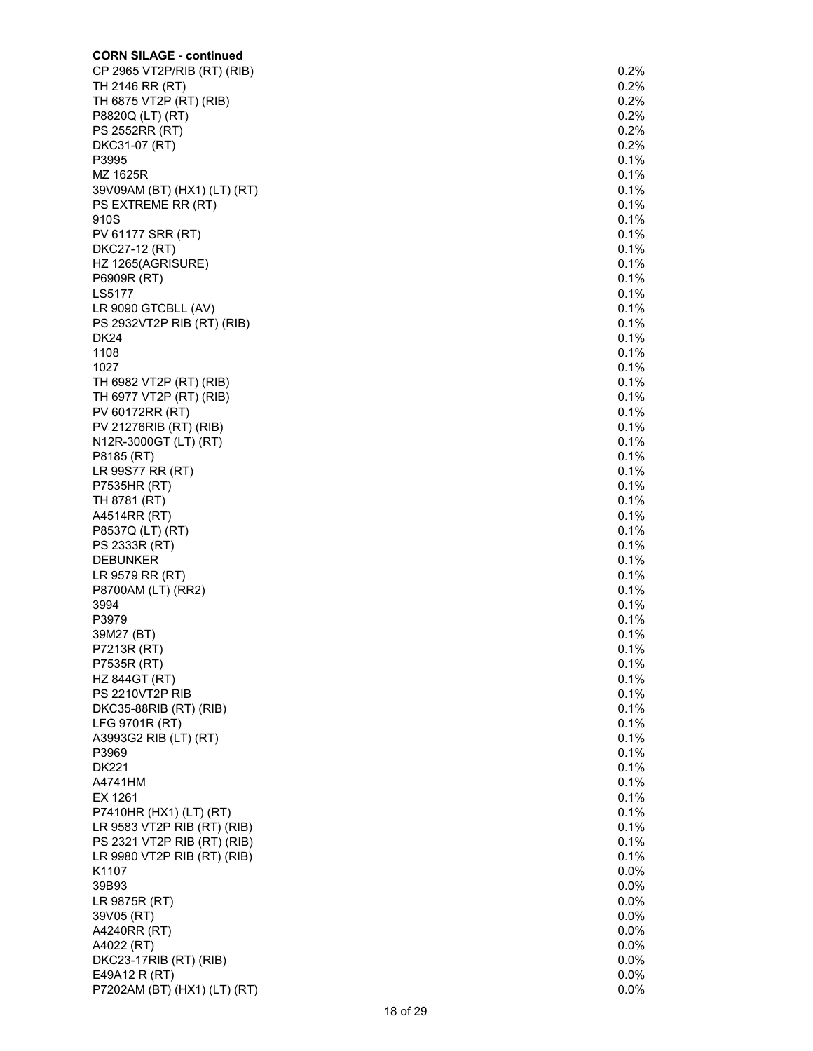| <b>CORN SILAGE - continued</b> |         |
|--------------------------------|---------|
| CP 2965 VT2P/RIB (RT) (RIB)    | 0.2%    |
| TH 2146 RR (RT)                | 0.2%    |
| TH 6875 VT2P (RT) (RIB)        | 0.2%    |
| P8820Q (LT) (RT)               | 0.2%    |
| PS 2552RR (RT)                 | 0.2%    |
| DKC31-07 (RT)                  | 0.2%    |
| P3995                          | 0.1%    |
| MZ 1625R                       | 0.1%    |
| 39V09AM (BT) (HX1) (LT) (RT)   | 0.1%    |
| PS EXTREME RR (RT)             | 0.1%    |
| 910S                           | 0.1%    |
| PV 61177 SRR (RT)              | 0.1%    |
| DKC27-12 (RT)                  | 0.1%    |
| HZ 1265(AGRISURE)              | 0.1%    |
| P6909R (RT)                    | 0.1%    |
| LS5177                         | 0.1%    |
| LR 9090 GTCBLL (AV)            | 0.1%    |
| PS 2932VT2P RIB (RT) (RIB)     | 0.1%    |
| <b>DK24</b>                    | 0.1%    |
| 1108                           | 0.1%    |
| 1027                           | 0.1%    |
| TH 6982 VT2P (RT) (RIB)        | 0.1%    |
| TH 6977 VT2P (RT) (RIB)        | 0.1%    |
| PV 60172RR (RT)                | 0.1%    |
| PV 21276RIB (RT) (RIB)         | 0.1%    |
| N12R-3000GT (LT) (RT)          | 0.1%    |
| P8185 (RT)                     | 0.1%    |
| LR 99S77 RR (RT)               | 0.1%    |
| P7535HR (RT)                   | 0.1%    |
| TH 8781 (RT)                   | 0.1%    |
| A4514RR (RT)                   | 0.1%    |
| P8537Q (LT) (RT)               | 0.1%    |
| PS 2333R (RT)                  | 0.1%    |
| <b>DEBUNKER</b>                | 0.1%    |
| LR 9579 RR (RT)                | 0.1%    |
| P8700AM (LT) (RR2)             | 0.1%    |
| 3994                           | 0.1%    |
| P3979                          | 0.1%    |
| 39M27 (BT)                     | 0.1%    |
| P7213R (RT)                    | 0.1%    |
| P7535R (RT)                    | 0.1%    |
| <b>HZ 844GT (RT)</b>           | 0.1%    |
| PS 2210VT2P RIB                | 0.1%    |
| DKC35-88RIB (RT) (RIB)         | 0.1%    |
| LFG 9701R (RT)                 | 0.1%    |
| A3993G2 RIB (LT) (RT)          | 0.1%    |
| P3969                          | 0.1%    |
| <b>DK221</b>                   | 0.1%    |
| A4741HM                        | 0.1%    |
| EX 1261                        | 0.1%    |
| P7410HR (HX1) (LT) (RT)        | 0.1%    |
| LR 9583 VT2P RIB (RT) (RIB)    | 0.1%    |
| PS 2321 VT2P RIB (RT) (RIB)    | 0.1%    |
| LR 9980 VT2P RIB (RT) (RIB)    | 0.1%    |
| K1107                          | 0.0%    |
| 39B93                          | $0.0\%$ |
| LR 9875R (RT)                  | $0.0\%$ |
| 39V05 (RT)                     | $0.0\%$ |
| A4240RR (RT)                   | $0.0\%$ |
| A4022 (RT)                     | $0.0\%$ |
| DKC23-17RIB (RT) (RIB)         | $0.0\%$ |
| E49A12 R (RT)                  | 0.0%    |
| P7202AM (BT) (HX1) (LT) (RT)   | $0.0\%$ |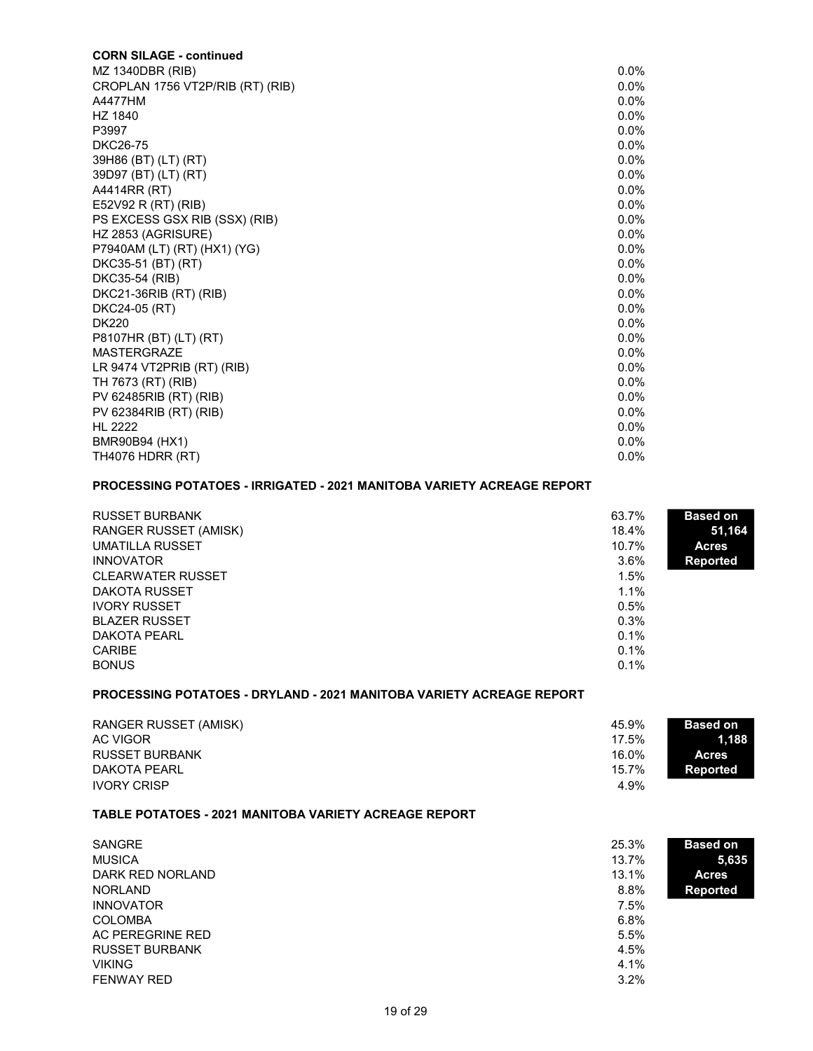| <b>CORN SILAGE - continued</b>   |         |
|----------------------------------|---------|
| MZ 1340DBR (RIB)                 | $0.0\%$ |
| CROPLAN 1756 VT2P/RIB (RT) (RIB) | $0.0\%$ |
| A4477HM                          | $0.0\%$ |
| HZ 1840                          | $0.0\%$ |
| P3997                            | $0.0\%$ |
| <b>DKC26-75</b>                  | $0.0\%$ |
| 39H86 (BT) (LT) (RT)             | $0.0\%$ |
| 39D97 (BT) (LT) (RT)             | $0.0\%$ |
| A4414RR (RT)                     | $0.0\%$ |
| E52V92 R (RT) (RIB)              | $0.0\%$ |
| PS EXCESS GSX RIB (SSX) (RIB)    | $0.0\%$ |
| HZ 2853 (AGRISURE)               | $0.0\%$ |
| P7940AM (LT) (RT) (HX1) (YG)     | $0.0\%$ |
| DKC35-51 (BT) (RT)               | $0.0\%$ |
| DKC35-54 (RIB)                   | $0.0\%$ |
| DKC21-36RIB (RT) (RIB)           | $0.0\%$ |
| DKC24-05 (RT)                    | $0.0\%$ |
| <b>DK220</b>                     | $0.0\%$ |
| P8107HR (BT) (LT) (RT)           | $0.0\%$ |
| <b>MASTERGRAZE</b>               | $0.0\%$ |
| LR 9474 VT2PRIB $(RT)$ $(RIB)$   | $0.0\%$ |
| TH 7673 (RT) (RIB)               | $0.0\%$ |
| PV 62485RIB (RT) (RIB)           | $0.0\%$ |
| PV 62384RIB (RT) (RIB)           | $0.0\%$ |
| <b>HL 2222</b>                   | $0.0\%$ |
| BMR90B94 (HX1)                   | $0.0\%$ |
| <b>TH4076 HDRR (RT)</b>          | $0.0\%$ |

#### PROCESSING POTATOES - IRRIGATED - 2021 MANITOBA VARIETY ACREAGE REPORT

| <b>RUSSET BURBANK</b>    | 63.7%   | <b>Based on</b> |
|--------------------------|---------|-----------------|
| RANGER RUSSET (AMISK)    | 18.4%   | 51,164          |
| UMATILLA RUSSET          | 10.7%   | <b>Acres</b>    |
| <b>INNOVATOR</b>         | $3.6\%$ | <b>Reported</b> |
| <b>CLEARWATER RUSSET</b> | 1.5%    |                 |
| <b>DAKOTA RUSSET</b>     | $1.1\%$ |                 |
| <b>IVORY RUSSET</b>      | 0.5%    |                 |
| <b>BLAZER RUSSET</b>     | 0.3%    |                 |
| DAKOTA PEARL             | $0.1\%$ |                 |
| <b>CARIBE</b>            | $0.1\%$ |                 |
| <b>BONUS</b>             | 0.1%    |                 |

## PROCESSING POTATOES - DRYLAND - 2021 MANITOBA VARIETY ACREAGE REPORT

| RANGER RUSSET (AMISK) | 45.9% | <b>Based on</b> |
|-----------------------|-------|-----------------|
| AC VIGOR              | 17.5% | 1.188           |
| RUSSET BURBANK        | 16.0% | <b>Acres</b>    |
| DAKOTA PEARL          | 15.7% | Reported        |
| <b>IVORY CRISP</b>    | 4.9%  |                 |

#### TABLE POTATOES - 2021 MANITOBA VARIETY ACREAGE REPORT

| <b>SANGRE</b>         | 25.3%<br><b>Based on</b> |       |
|-----------------------|--------------------------|-------|
| <b>MUSICA</b>         | 13.7%                    | 5,635 |
| DARK RED NORLAND      | 13.1%<br><b>Acres</b>    |       |
| <b>NORLAND</b>        | 8.8%<br><b>Reported</b>  |       |
| <b>INNOVATOR</b>      | 7.5%                     |       |
| <b>COLOMBA</b>        | 6.8%                     |       |
| AC PEREGRINE RED      | 5.5%                     |       |
| <b>RUSSET BURBANK</b> | 4.5%                     |       |
| <b>VIKING</b>         | 4.1%                     |       |
| <b>FENWAY RED</b>     | $3.2\%$                  |       |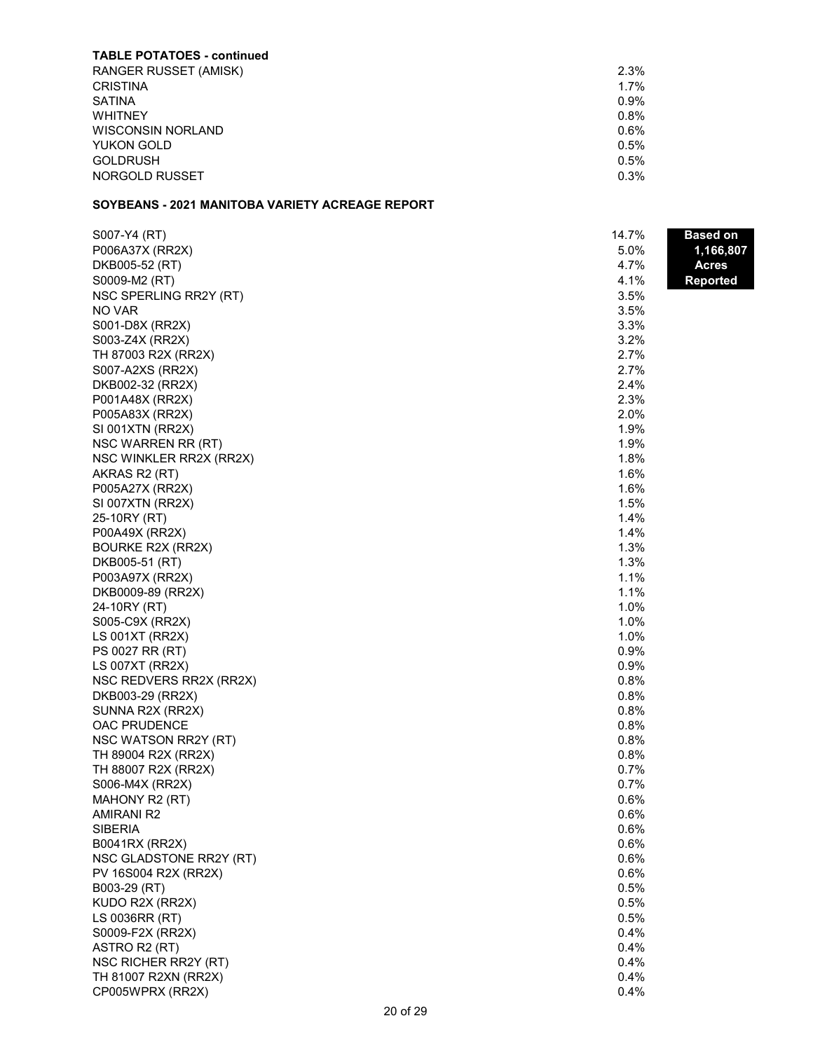| <b>TABLE POTATOES - continued</b> |         |
|-----------------------------------|---------|
| <b>RANGER RUSSET (AMISK)</b>      | 2.3%    |
| <b>CRISTINA</b>                   | $1.7\%$ |
| <b>SATINA</b>                     | $0.9\%$ |
| <b>WHITNEY</b>                    | $0.8\%$ |
| <b>WISCONSIN NORLAND</b>          | $0.6\%$ |
| YUKON GOLD                        | $0.5\%$ |
| <b>GOLDRUSH</b>                   | $0.5\%$ |
| NORGOLD RUSSET                    | $0.3\%$ |

### SOYBEANS - 2021 MANITOBA VARIETY ACREAGE REPORT

| S007-Y4 (RT)            | 14.7% | Based on        |
|-------------------------|-------|-----------------|
| P006A37X (RR2X)         | 5.0%  | 1,166,807       |
| DKB005-52 (RT)          | 4.7%  | <b>Acres</b>    |
| S0009-M2 (RT)           | 4.1%  | <b>Reported</b> |
| NSC SPERLING RR2Y (RT)  | 3.5%  |                 |
| NO VAR                  | 3.5%  |                 |
| S001-D8X (RR2X)         | 3.3%  |                 |
| S003-Z4X (RR2X)         | 3.2%  |                 |
| TH 87003 R2X (RR2X)     | 2.7%  |                 |
| S007-A2XS (RR2X)        | 2.7%  |                 |
| DKB002-32 (RR2X)        | 2.4%  |                 |
| P001A48X (RR2X)         | 2.3%  |                 |
| P005A83X (RR2X)         | 2.0%  |                 |
| SI 001XTN (RR2X)        | 1.9%  |                 |
| NSC WARREN RR (RT)      | 1.9%  |                 |
| NSC WINKLER RR2X (RR2X) | 1.8%  |                 |
| AKRAS R2 (RT)           | 1.6%  |                 |
| P005A27X (RR2X)         | 1.6%  |                 |
| SI 007XTN (RR2X)        | 1.5%  |                 |
| 25-10RY (RT)            | 1.4%  |                 |
| P00A49X (RR2X)          | 1.4%  |                 |
| BOURKE R2X (RR2X)       | 1.3%  |                 |
| DKB005-51 (RT)          | 1.3%  |                 |
| P003A97X (RR2X)         | 1.1%  |                 |
| DKB0009-89 (RR2X)       | 1.1%  |                 |
| 24-10RY (RT)            | 1.0%  |                 |
| S005-C9X (RR2X)         | 1.0%  |                 |
| <b>LS 001XT (RR2X)</b>  | 1.0%  |                 |
| PS 0027 RR (RT)         | 0.9%  |                 |
| LS 007XT (RR2X)         | 0.9%  |                 |
| NSC REDVERS RR2X (RR2X) | 0.8%  |                 |
| DKB003-29 (RR2X)        | 0.8%  |                 |
| SUNNA R2X (RR2X)        | 0.8%  |                 |
| OAC PRUDENCE            | 0.8%  |                 |
| NSC WATSON RR2Y (RT)    | 0.8%  |                 |
| TH 89004 R2X (RR2X)     | 0.8%  |                 |
| TH 88007 R2X (RR2X)     | 0.7%  |                 |
| S006-M4X (RR2X)         | 0.7%  |                 |
| MAHONY R2 (RT)          | 0.6%  |                 |
| <b>AMIRANI R2</b>       | 0.6%  |                 |
| SIBERIA                 | 0.6%  |                 |
| B0041RX (RR2X)          | 0.6%  |                 |
| NSC GLADSTONE RR2Y (RT) | 0.6%  |                 |
| PV 16S004 R2X (RR2X)    | 0.6%  |                 |
| B003-29 (RT)            | 0.5%  |                 |
| KUDO R2X (RR2X)         | 0.5%  |                 |
| LS 0036RR (RT)          | 0.5%  |                 |
| S0009-F2X (RR2X)        | 0.4%  |                 |
| ASTRO R2 (RT)           | 0.4%  |                 |
| NSC RICHER RR2Y (RT)    | 0.4%  |                 |
| TH 81007 R2XN (RR2X)    | 0.4%  |                 |
| CP005WPRX (RR2X)        | 0.4%  |                 |
|                         |       |                 |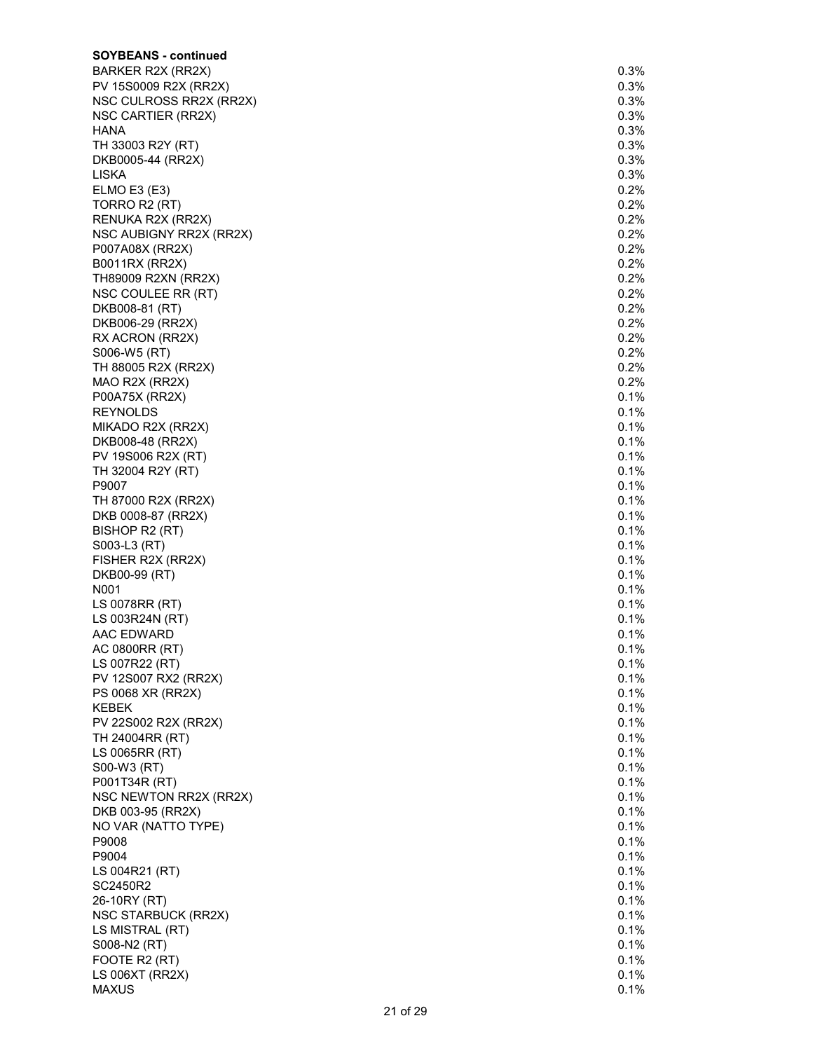| <b>SOYBEANS - continued</b> |         |
|-----------------------------|---------|
| BARKER R2X (RR2X)           | 0.3%    |
| PV 15S0009 R2X (RR2X)       | 0.3%    |
| NSC CULROSS RR2X (RR2X)     | 0.3%    |
| NSC CARTIER (RR2X)          | 0.3%    |
| HANA                        | 0.3%    |
| TH 33003 R2Y (RT)           | 0.3%    |
| DKB0005-44 (RR2X)           | 0.3%    |
| LISKA                       | 0.3%    |
| ELMO E3 (E3)                | 0.2%    |
| TORRO R2 (RT)               | 0.2%    |
| RENUKA R2X (RR2X)           | 0.2%    |
| NSC AUBIGNY RR2X (RR2X)     | 0.2%    |
| P007A08X (RR2X)             | 0.2%    |
| B0011RX (RR2X)              | 0.2%    |
| TH89009 R2XN (RR2X)         | 0.2%    |
| NSC COULEE RR (RT)          | $0.2\%$ |
| DKB008-81 (RT)              | 0.2%    |
| DKB006-29 (RR2X)            | 0.2%    |
| RX ACRON (RR2X)             | 0.2%    |
| S006-W5 (RT)                | $0.2\%$ |
| TH 88005 R2X (RR2X)         | 0.2%    |
| MAO R2X (RR2X)              | 0.2%    |
| P00A75X (RR2X)              | 0.1%    |
| <b>REYNOLDS</b>             | 0.1%    |
| MIKADO R2X (RR2X)           | 0.1%    |
| DKB008-48 (RR2X)            | 0.1%    |
| PV 19S006 R2X (RT)          | 0.1%    |
| TH 32004 R2Y (RT)           | 0.1%    |
| P9007                       | 0.1%    |
| TH 87000 R2X (RR2X)         | 0.1%    |
| DKB 0008-87 (RR2X)          | 0.1%    |
| BISHOP R2 (RT)              | 0.1%    |
| S003-L3 (RT)                | 0.1%    |
| FISHER R2X (RR2X)           | 0.1%    |
| DKB00-99 (RT)               | 0.1%    |
| N001                        | 0.1%    |
| LS 0078RR (RT)              | 0.1%    |
| LS 003R24N (RT)             | 0.1%    |
| AAC EDWARD                  | 0.1%    |
| AC 0800RR (RT)              | 0.1%    |
| LS 007R22 (RT)              | 0.1%    |
| PV 12S007 RX2 (RR2X)        | 0.1%    |
| PS 0068 XR (RR2X)           | 0.1%    |
| <b>KEBEK</b>                | 0.1%    |
| PV 22S002 R2X (RR2X)        | 0.1%    |
| TH 24004RR (RT)             | 0.1%    |
| LS 0065RR (RT)              | 0.1%    |
| S00-W3 (RT)                 | 0.1%    |
| P001T34R (RT)               | 0.1%    |
| NSC NEWTON RR2X (RR2X)      | 0.1%    |
| DKB 003-95 (RR2X)           | 0.1%    |
| NO VAR (NATTO TYPE)         | 0.1%    |
| P9008                       | 0.1%    |
| P9004                       | 0.1%    |
| LS 004R21 (RT)              | 0.1%    |
| SC2450R2                    | 0.1%    |
| 26-10RY (RT)                | 0.1%    |
| NSC STARBUCK (RR2X)         | 0.1%    |
| LS MISTRAL (RT)             | 0.1%    |
| S008-N2 (RT)                | 0.1%    |
| FOOTE R2 (RT)               | 0.1%    |
| LS 006XT (RR2X)             | 0.1%    |
| <b>MAXUS</b>                | 0.1%    |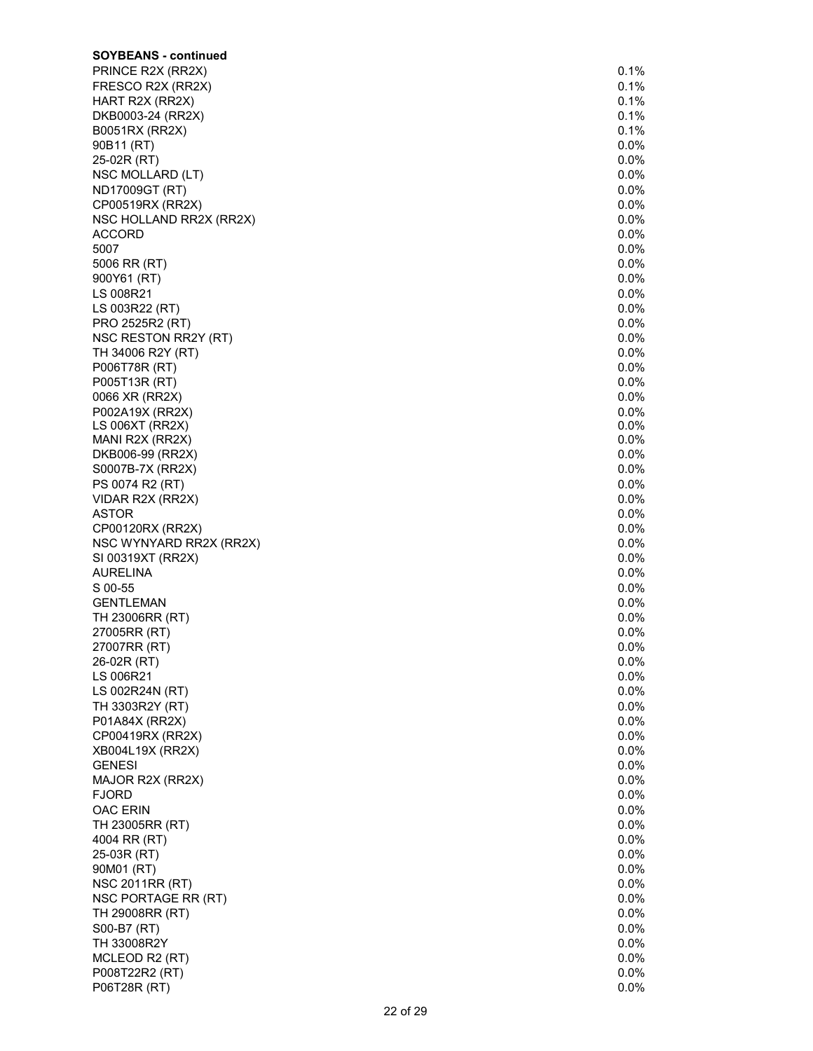| <b>SOYBEANS - continued</b>         |              |
|-------------------------------------|--------------|
| PRINCE R2X (RR2X)                   | 0.1%         |
| FRESCO R2X (RR2X)                   | 0.1%         |
| HART R2X (RR2X)                     | 0.1%         |
| DKB0003-24 (RR2X)                   | 0.1%         |
| B0051RX (RR2X)                      | 0.1%         |
| 90B11 (RT)                          | $0.0\%$      |
| 25-02R (RT)                         | $0.0\%$      |
| NSC MOLLARD (LT)                    | 0.0%         |
| ND17009GT (RT)                      | 0.0%         |
| CP00519RX (RR2X)                    | 0.0%         |
| NSC HOLLAND RR2X (RR2X)             | $0.0\%$      |
| <b>ACCORD</b>                       | $0.0\%$      |
| 5007                                | $0.0\%$      |
| 5006 RR (RT)                        | $0.0\%$      |
| 900Y61 (RT)                         | 0.0%         |
| LS 008R21                           | 0.0%         |
| LS 003R22 (RT)                      | 0.0%         |
| PRO 2525R2 (RT)                     | 0.0%         |
| NSC RESTON RR2Y (RT)                | 0.0%         |
| TH 34006 R2Y (RT)                   | $0.0\%$      |
| P006T78R (RT)                       | $0.0\%$      |
| P005T13R (RT)                       | $0.0\%$      |
| 0066 XR (RR2X)                      | 0.0%         |
| P002A19X (RR2X)                     | $0.0\%$      |
| LS 006XT (RR2X)                     | 0.0%<br>0.0% |
| MANI R2X (RR2X)<br>DKB006-99 (RR2X) | $0.0\%$      |
| S0007B-7X (RR2X)                    | 0.0%         |
| PS 0074 R2 (RT)                     | 0.0%         |
| VIDAR R2X (RR2X)                    | 0.0%         |
| <b>ASTOR</b>                        | 0.0%         |
| CP00120RX (RR2X)                    | $0.0\%$      |
| NSC WYNYARD RR2X (RR2X)             | 0.0%         |
| SI 00319XT (RR2X)                   | $0.0\%$      |
| AURELINA                            | 0.0%         |
| S 00-55                             | 0.0%         |
| <b>GENTLEMAN</b>                    | 0.0%         |
| TH 23006RR (RT)                     | 0.0%         |
| 27005RR (RT)                        | 0.0%         |
| 27007RR (RT)                        | $0.0\%$      |
| 26-02R (RT)                         | $0.0\%$      |
| LS 006R21                           | $0.0\%$      |
| LS 002R24N (RT)                     | $0.0\%$      |
| TH 3303R2Y (RT)                     | $0.0\%$      |
| P01A84X (RR2X)                      | $0.0\%$      |
| CP00419RX (RR2X)                    | 0.0%         |
| XB004L19X (RR2X)                    | $0.0\%$      |
| <b>GENESI</b>                       | $0.0\%$      |
| MAJOR R2X (RR2X)                    | $0.0\%$      |
| <b>FJORD</b>                        | $0.0\%$      |
| OAC ERIN                            | $0.0\%$      |
| TH 23005RR (RT)                     | 0.0%         |
| 4004 RR (RT)                        | 0.0%         |
| 25-03R (RT)                         | $0.0\%$      |
| 90M01 (RT)                          | 0.0%         |
| <b>NSC 2011RR (RT)</b>              | $0.0\%$      |
| NSC PORTAGE RR (RT)                 | $0.0\%$      |
| TH 29008RR (RT)                     | $0.0\%$      |
| S00-B7 (RT)                         | $0.0\%$      |
| TH 33008R2Y                         | $0.0\%$      |
| MCLEOD R2 (RT)                      | $0.0\%$      |
| P008T22R2 (RT)                      | $0.0\%$      |
| P06T28R (RT)                        | $0.0\%$      |

|   | 0.1%       |
|---|------------|
|   |            |
|   | 0.1%       |
|   | 0.1%       |
|   |            |
|   | 0.1%       |
|   |            |
|   | 0.1%       |
|   |            |
|   | 0.0%       |
|   | 0.0%       |
|   |            |
|   | 0.0%       |
|   |            |
|   | 0.0%       |
|   | 0.0%       |
|   |            |
|   | 0.0%       |
|   |            |
|   | 0.0%       |
|   |            |
|   | $0.0\%$    |
|   | 0.0%       |
|   | .<br>0%.   |
| ( |            |
|   | 0.0%       |
|   |            |
|   | 0.0%       |
|   |            |
|   | 0.0%       |
|   | 0.0%       |
|   |            |
|   | $0.0\%$    |
|   |            |
|   | 0.0%       |
| ( | $0.0\%$    |
|   |            |
|   | 0.0%       |
|   |            |
|   | 0.0%       |
|   | $0.0\%$    |
|   |            |
|   | $0.0\%$    |
|   | 0.0%       |
|   |            |
|   | 0.0%       |
|   |            |
|   | 0.0%       |
|   | 0.0%       |
|   |            |
|   | 0.0%       |
|   |            |
|   | 0.0%       |
|   |            |
|   | $0.0\%$    |
|   | 0.0%       |
|   |            |
|   | 0.0%       |
|   | 0.0%       |
|   |            |
|   | 0.0%       |
|   |            |
|   | 0.0%       |
|   | $0.0\%$    |
|   |            |
|   | $0.0\%$    |
|   |            |
|   | 0.0%       |
|   | 0.0%       |
|   |            |
|   | 0.0%       |
|   | 0.0%       |
|   |            |
|   | 0.0%       |
|   |            |
|   | 0.0%       |
|   | $0.0\%$    |
|   |            |
|   | 0.0%       |
|   | .<br>0%. ( |
| ( |            |
|   | 0.0%       |
|   |            |
|   | 0.0%       |
|   | 0.0%       |
|   |            |
|   | 0.0%       |
|   |            |
|   | $0.0\%$    |
|   | 0.0%       |
|   |            |
| ( | ۔<br>0%.(  |
|   | 0.0%       |
|   |            |
|   | 0.0%       |
|   |            |
|   | 0.0%       |
|   | $0.0\%$    |
|   |            |
|   | 0.0%       |
|   |            |
|   | 0.0%       |
|   | $0.0\%$    |
|   |            |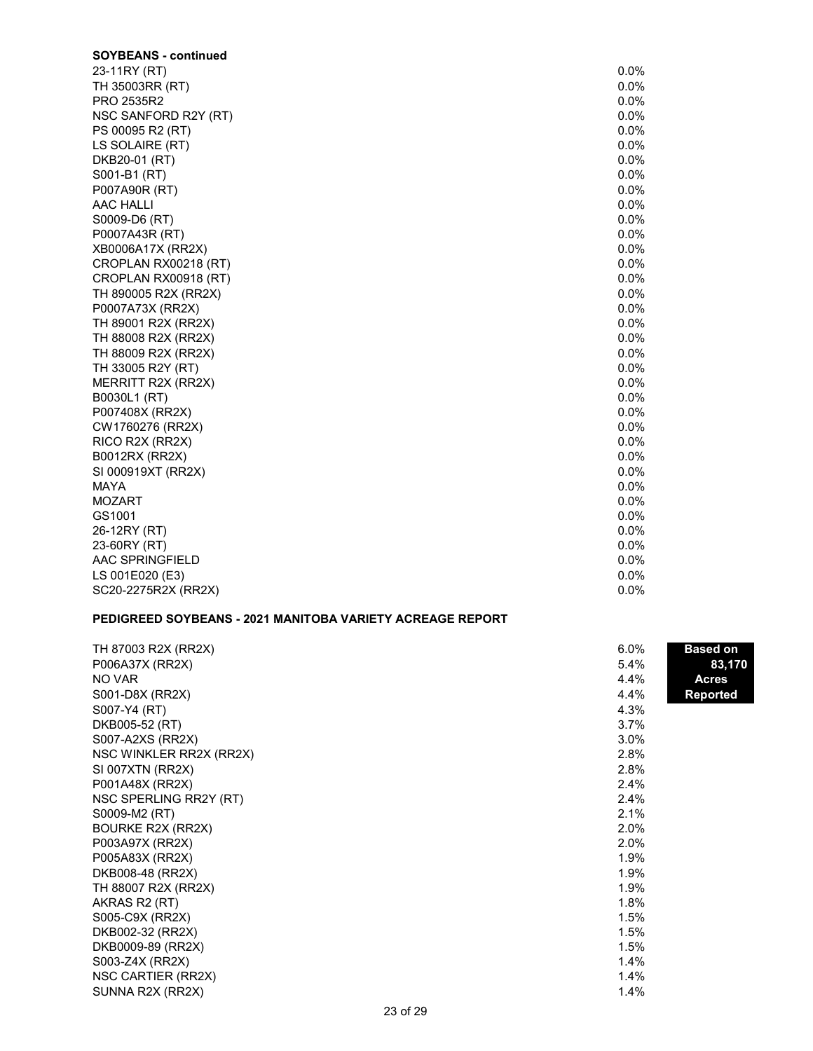| <b>SOYBEANS - continued</b> |         |
|-----------------------------|---------|
| 23-11RY (RT)                | $0.0\%$ |
| TH 35003RR (RT)             | $0.0\%$ |
| PRO 2535R2                  | 0.0%    |
| NSC SANFORD R2Y (RT)        | 0.0%    |
| PS 00095 R2 (RT)            | 0.0%    |
| LS SOLAIRE (RT)             | 0.0%    |
| DKB20-01 (RT)               | 0.0%    |
| S001-B1 (RT)                | 0.0%    |
| P007A90R (RT)               | 0.0%    |
| AAC HALLI                   | 0.0%    |
| S0009-D6 (RT)               | 0.0%    |
| P0007A43R (RT)              | 0.0%    |
| XB0006A17X (RR2X)           | 0.0%    |
| CROPLAN RX00218 (RT)        | $0.0\%$ |
| CROPLAN RX00918 (RT)        | 0.0%    |
| TH 890005 R2X (RR2X)        | 0.0%    |
| P0007A73X (RR2X)            | $0.0\%$ |
| TH 89001 R2X (RR2X)         | 0.0%    |
| TH 88008 R2X (RR2X)         | $0.0\%$ |
| TH 88009 R2X (RR2X)         | 0.0%    |
| TH 33005 R2Y (RT)           | $0.0\%$ |
| MERRITT R2X (RR2X)          | $0.0\%$ |
| B0030L1 (RT)                | $0.0\%$ |
| P007408X (RR2X)             | 0.0%    |
| CW1760276 (RR2X)            | $0.0\%$ |
| RICO R2X (RR2X)             | $0.0\%$ |
| <b>B0012RX (RR2X)</b>       | $0.0\%$ |
| SI 000919XT (RR2X)          | 0.0%    |
| <b>MAYA</b>                 | $0.0\%$ |
| <b>MOZART</b>               | $0.0\%$ |
| GS1001                      | 0.0%    |
| 26-12RY (RT)                | 0.0%    |
| 23-60RY (RT)                | 0.0%    |
| AAC SPRINGFIELD             | 0.0%    |
| LS 001E020 (E3)             | 0.0%    |
| SC20-2275R2X (RR2X)         | 0.0%    |

### PEDIGREED SOYBEANS - 2021 MANITOBA VARIETY ACREAGE REPORT

| TH 87003 R2X (RR2X)      | 6.0% | <b>Based on</b> |
|--------------------------|------|-----------------|
| P006A37X (RR2X)          | 5.4% | 83,170          |
| NO VAR                   | 4.4% | <b>Acres</b>    |
| S001-D8X (RR2X)          | 4.4% | <b>Reported</b> |
| S007-Y4 (RT)             | 4.3% |                 |
| DKB005-52 (RT)           | 3.7% |                 |
| S007-A2XS (RR2X)         | 3.0% |                 |
| NSC WINKLER RR2X (RR2X)  | 2.8% |                 |
| SI 007XTN (RR2X)         | 2.8% |                 |
| P001A48X (RR2X)          | 2.4% |                 |
| NSC SPERLING RR2Y (RT)   | 2.4% |                 |
| S0009-M2 (RT)            | 2.1% |                 |
| <b>BOURKE R2X (RR2X)</b> | 2.0% |                 |
| P003A97X (RR2X)          | 2.0% |                 |
| P005A83X (RR2X)          | 1.9% |                 |
| DKB008-48 (RR2X)         | 1.9% |                 |
| TH 88007 R2X (RR2X)      | 1.9% |                 |
| AKRAS R2 (RT)            | 1.8% |                 |
| S005-C9X (RR2X)          | 1.5% |                 |
| DKB002-32 (RR2X)         | 1.5% |                 |
| DKB0009-89 (RR2X)        | 1.5% |                 |
| S003-Z4X (RR2X)          | 1.4% |                 |
| NSC CARTIER (RR2X)       | 1.4% |                 |
| SUNNA R2X (RR2X)         | 1.4% |                 |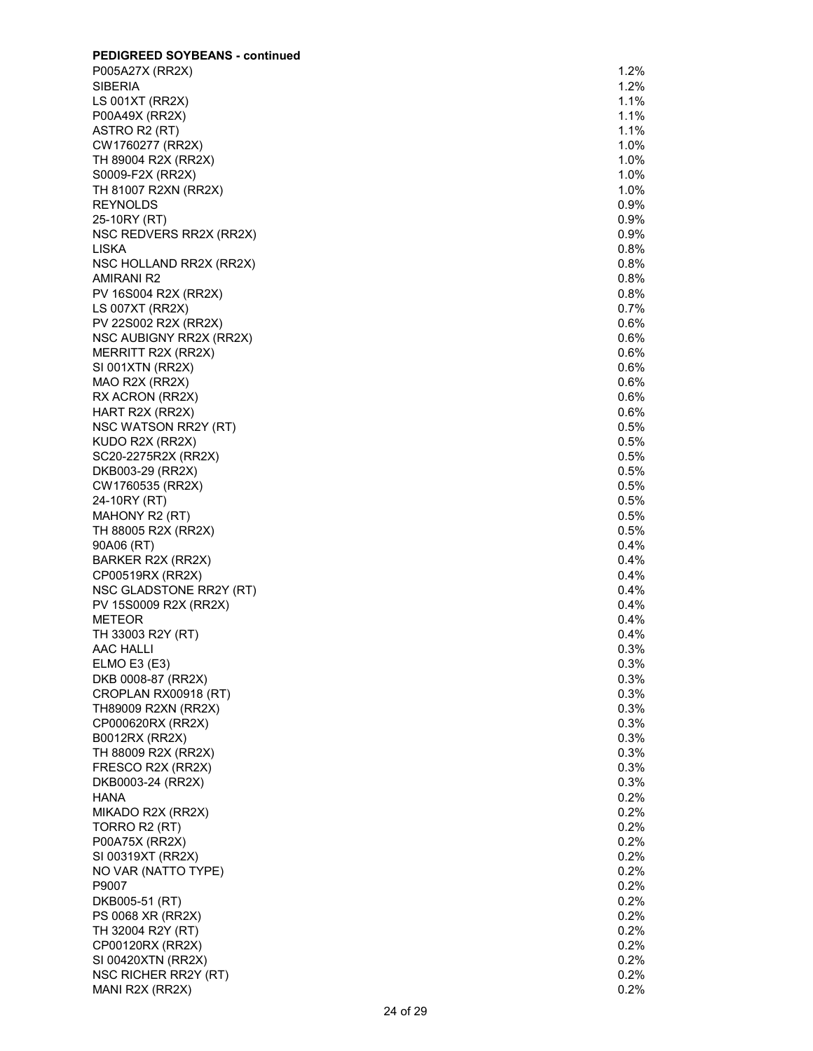| <b>PEDIGREED SOYBEANS - continued</b> |         |
|---------------------------------------|---------|
| P005A27X (RR2X)                       | $1.2\%$ |
| <b>SIBERIA</b>                        | 1.2%    |
| LS 001XT (RR2X)                       | 1.1%    |
| P00A49X (RR2X)                        | 1.1%    |
| ASTRO R2 (RT)                         | 1.1%    |
| CW1760277 (RR2X)                      | $1.0\%$ |
| TH 89004 R2X (RR2X)                   | $1.0\%$ |
| S0009-F2X (RR2X)                      | $1.0\%$ |
| TH 81007 R2XN (RR2X)                  | $1.0\%$ |
| <b>REYNOLDS</b>                       | 0.9%    |
|                                       |         |
| 25-10RY (RT)                          | 0.9%    |
| NSC REDVERS RR2X (RR2X)               | $0.9\%$ |
| <b>LISKA</b>                          | 0.8%    |
| NSC HOLLAND RR2X (RR2X)               | 0.8%    |
| <b>AMIRANI R2</b>                     | 0.8%    |
| PV 16S004 R2X (RR2X)                  | 0.8%    |
| LS 007XT (RR2X)                       | 0.7%    |
| PV 22S002 R2X (RR2X)                  | 0.6%    |
| NSC AUBIGNY RR2X (RR2X)               | $0.6\%$ |
| MERRITT R2X (RR2X)                    | $0.6\%$ |
| SI 001XTN (RR2X)                      | $0.6\%$ |
| MAO R2X (RR2X)                        | $0.6\%$ |
| RX ACRON (RR2X)                       | $0.6\%$ |
| HART R2X (RR2X)                       | 0.6%    |
| NSC WATSON RR2Y (RT)                  | 0.5%    |
|                                       | 0.5%    |
| KUDO R2X (RR2X)                       |         |
| SC20-2275R2X (RR2X)                   | 0.5%    |
| DKB003-29 (RR2X)                      | 0.5%    |
| CW1760535 (RR2X)                      | 0.5%    |
| 24-10RY (RT)                          | 0.5%    |
| MAHONY R2 (RT)                        | 0.5%    |
| TH 88005 R2X (RR2X)                   | $0.5\%$ |
| 90A06 (RT)                            | 0.4%    |
| BARKER R2X (RR2X)                     | 0.4%    |
| CP00519RX (RR2X)                      | 0.4%    |
| NSC GLADSTONE RR2Y (RT)               | 0.4%    |
| PV 15S0009 R2X (RR2X)                 | $0.4\%$ |
| <b>METEOR</b>                         | $0.4\%$ |
| TH 33003 R2Y (RT)                     | $0.4\%$ |
|                                       | 0.3%    |
| AAC HALLI                             |         |
| ELMO E3(E3)                           | $0.3\%$ |
| DKB 0008-87 (RR2X)                    | $0.3\%$ |
| CROPLAN RX00918 (RT)                  | $0.3\%$ |
| TH89009 R2XN (RR2X)                   | $0.3\%$ |
| CP000620RX (RR2X)                     | $0.3\%$ |
| <b>B0012RX (RR2X)</b>                 | 0.3%    |
| TH 88009 R2X (RR2X)                   | 0.3%    |
| FRESCO R2X (RR2X)                     | 0.3%    |
| DKB0003-24 (RR2X)                     | 0.3%    |
| <b>HANA</b>                           | 0.2%    |
| MIKADO R2X (RR2X)                     | 0.2%    |
| TORRO R2 (RT)                         | $0.2\%$ |
| P00A75X (RR2X)                        | $0.2\%$ |
| SI 00319XT (RR2X)                     | 0.2%    |
|                                       |         |
| NO VAR (NATTO TYPE)                   | $0.2\%$ |
| P9007                                 | $0.2\%$ |
| DKB005-51 (RT)                        | 0.2%    |
| PS 0068 XR (RR2X)                     | $0.2\%$ |
| TH 32004 R2Y (RT)                     | $0.2\%$ |
| CP00120RX (RR2X)                      | $0.2\%$ |
| SI 00420XTN (RR2X)                    | $0.2\%$ |
| NSC RICHER RR2Y (RT)                  | $0.2\%$ |
| MANI R2X (RR2X)                       | 0.2%    |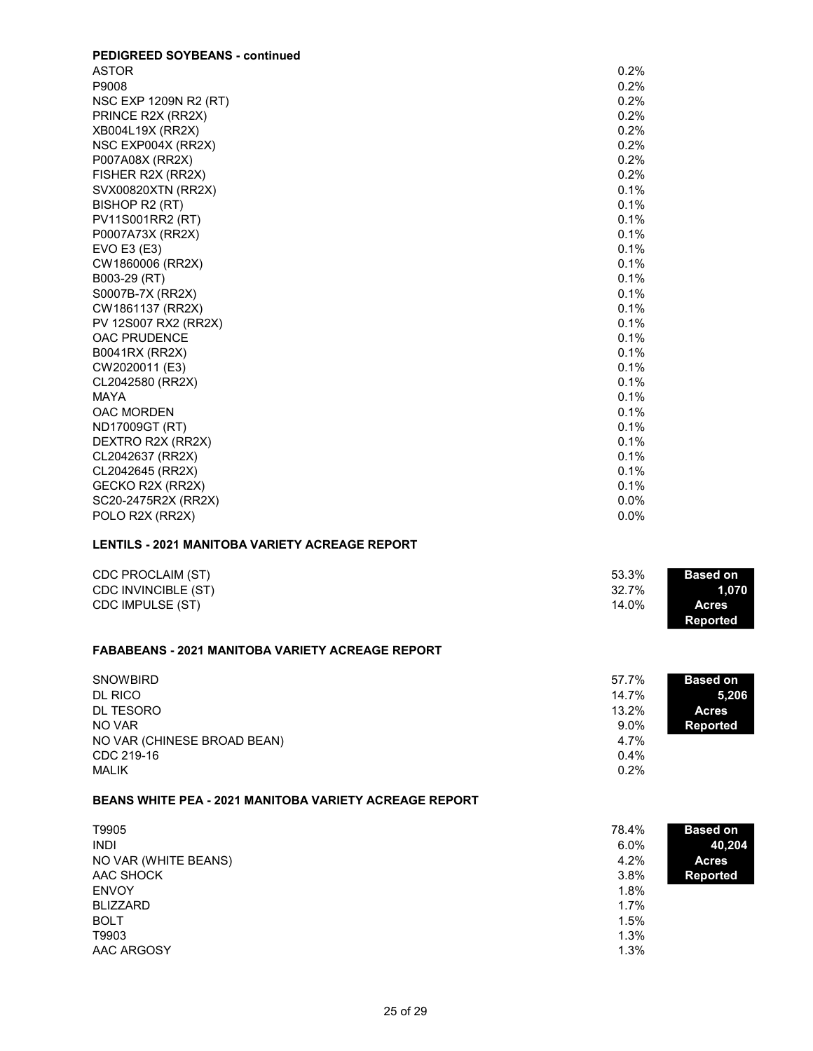| <b>PEDIGREED SOYBEANS - continued</b> |         |
|---------------------------------------|---------|
| <b>ASTOR</b>                          | 0.2%    |
| P9008                                 | 0.2%    |
| NSC EXP 1209N R2 (RT)                 | 0.2%    |
| PRINCE R2X (RR2X)                     | 0.2%    |
| XB004L19X (RR2X)                      | 0.2%    |
| NSC EXP004X (RR2X)                    | 0.2%    |
| P007A08X (RR2X)                       | 0.2%    |
| FISHER R2X (RR2X)                     | 0.2%    |
| SVX00820XTN (RR2X)                    | 0.1%    |
| BISHOP R2 (RT)                        | 0.1%    |
| PV11S001RR2 (RT)                      | 0.1%    |
| P0007A73X (RR2X)                      | 0.1%    |
| EVO E3 (E3)                           | 0.1%    |
| CW1860006 (RR2X)                      | 0.1%    |
| B003-29 (RT)                          | 0.1%    |
| S0007B-7X (RR2X)                      | 0.1%    |
| CW1861137 (RR2X)                      | 0.1%    |
| PV 12S007 RX2 (RR2X)                  | 0.1%    |
| <b>OAC PRUDENCE</b>                   | 0.1%    |
| B0041RX (RR2X)                        | 0.1%    |
| CW2020011 (E3)                        | 0.1%    |
| CL2042580 (RR2X)                      | 0.1%    |
| <b>MAYA</b>                           | 0.1%    |
| <b>OAC MORDEN</b>                     | 0.1%    |
| ND17009GT (RT)                        | 0.1%    |
| DEXTRO R2X (RR2X)                     | 0.1%    |
| CL2042637 (RR2X)                      | 0.1%    |
| CL2042645 (RR2X)                      | 0.1%    |
| GECKO R2X (RR2X)                      | 0.1%    |
| SC20-2475R2X (RR2X)                   | $0.0\%$ |
| POLO R2X (RR2X)                       | 0.0%    |

#### LENTILS - 2021 MANITOBA VARIETY ACREAGE REPORT

| CDC PROCLAIM (ST)   | 53.3% | <b>Based on</b> |
|---------------------|-------|-----------------|
| CDC INVINCIBLE (ST) | 32.7% | 1.070           |
| CDC IMPULSE (ST)    | 14.0% | <b>Acres</b>    |
|                     |       | <b>Reported</b> |

# FABABEANS - 2021 MANITOBA VARIETY ACREAGE REPORT

| <b>SNOWBIRD</b>             | 57.7%   | <b>Based on</b> |
|-----------------------------|---------|-----------------|
| DL RICO                     | 14.7%   | 5,206           |
| DL TESORO                   | 13.2%   | <b>Acres</b>    |
| NO VAR                      | $9.0\%$ | <b>Reported</b> |
| NO VAR (CHINESE BROAD BEAN) | 4.7%    |                 |
| CDC 219-16                  | 0.4%    |                 |
| <b>MALIK</b>                | 0.2%    |                 |

#### BEANS WHITE PEA - 2021 MANITOBA VARIETY ACREAGE REPORT

| T9905<br><b>INDI</b><br>NO VAR (WHITE BEANS)<br>AAC SHOCK<br><b>ENVOY</b><br><b>BLIZZARD</b><br><b>BOLT</b><br>T9903 | 78.4%<br>$6.0\%$<br>4.2%<br>3.8%<br>1.8%<br>1.7%<br>1.5%<br>1.3% | <b>Based on</b><br>40,204<br><b>Acres</b><br><b>Reported</b> |
|----------------------------------------------------------------------------------------------------------------------|------------------------------------------------------------------|--------------------------------------------------------------|
| AAC ARGOSY                                                                                                           | 1.3%                                                             |                                                              |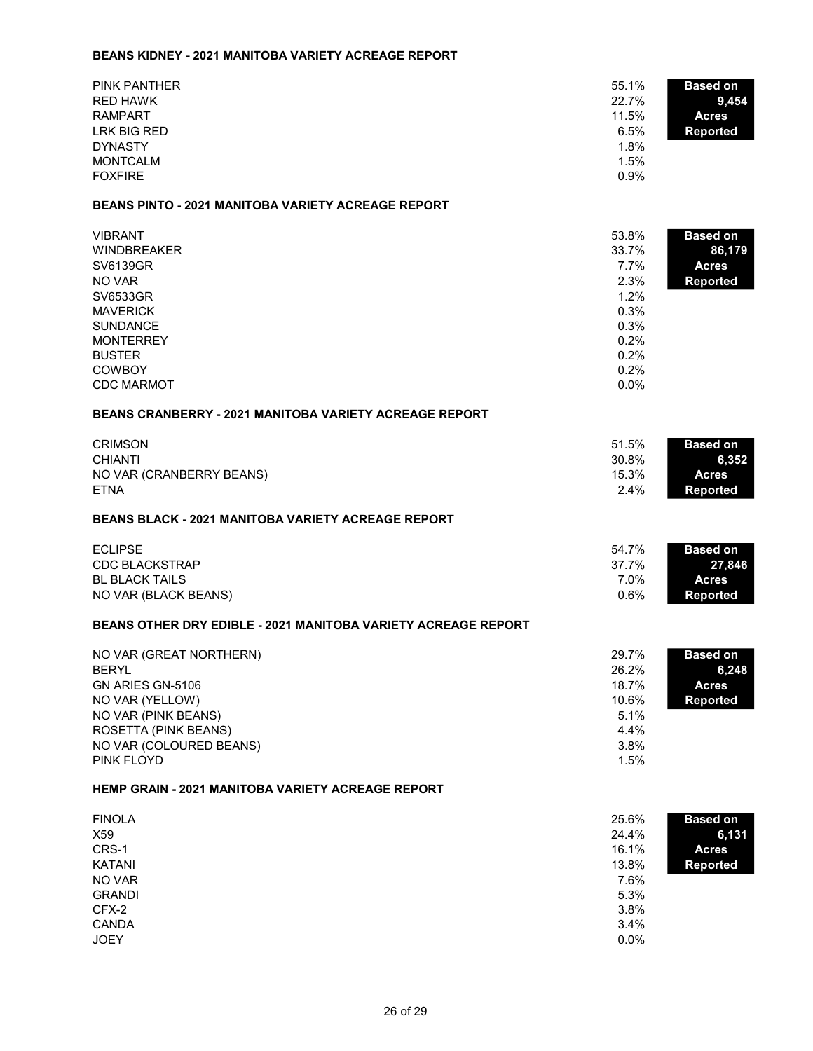## BEANS KIDNEY - 2021 MANITOBA VARIETY ACREAGE REPORT

| <b>PINK PANTHER</b>                                                  | 55.1%         | <b>Based on</b>        |
|----------------------------------------------------------------------|---------------|------------------------|
| <b>RED HAWK</b>                                                      | 22.7%         | 9,454                  |
| <b>RAMPART</b>                                                       | 11.5%         | <b>Acres</b>           |
| <b>LRK BIG RED</b>                                                   | 6.5%          | <b>Reported</b>        |
| <b>DYNASTY</b>                                                       | 1.8%          |                        |
| <b>MONTCALM</b>                                                      | 1.5%          |                        |
| <b>FOXFIRE</b>                                                       | 0.9%          |                        |
| <b>BEANS PINTO - 2021 MANITOBA VARIETY ACREAGE REPORT</b>            |               |                        |
| <b>VIBRANT</b>                                                       | 53.8%         | <b>Based on</b>        |
| <b>WINDBREAKER</b>                                                   | 33.7%         | 86,179                 |
| <b>SV6139GR</b>                                                      | 7.7%          | <b>Acres</b>           |
| NO VAR                                                               | 2.3%          | <b>Reported</b>        |
| <b>SV6533GR</b>                                                      | 1.2%          |                        |
| <b>MAVERICK</b>                                                      | 0.3%          |                        |
| <b>SUNDANCE</b>                                                      | 0.3%          |                        |
| <b>MONTERREY</b>                                                     | 0.2%          |                        |
| <b>BUSTER</b>                                                        | 0.2%          |                        |
| <b>COWBOY</b>                                                        | 0.2%          |                        |
| <b>CDC MARMOT</b>                                                    | 0.0%          |                        |
| <b>BEANS CRANBERRY - 2021 MANITOBA VARIETY ACREAGE REPORT</b>        |               |                        |
| <b>CRIMSON</b>                                                       | 51.5%         | <b>Based on</b>        |
| <b>CHIANTI</b>                                                       | 30.8%         | 6,352                  |
| NO VAR (CRANBERRY BEANS)                                             | 15.3%         | <b>Acres</b>           |
| <b>ETNA</b>                                                          | 2.4%          | <b>Reported</b>        |
| <b>BEANS BLACK - 2021 MANITOBA VARIETY ACREAGE REPORT</b>            |               |                        |
|                                                                      |               |                        |
|                                                                      |               |                        |
| <b>ECLIPSE</b>                                                       | 54.7%         | <b>Based on</b>        |
| <b>CDC BLACKSTRAP</b>                                                | 37.7%<br>7.0% | 27,846<br><b>Acres</b> |
| <b>BL BLACK TAILS</b><br>NO VAR (BLACK BEANS)                        | 0.6%          | <b>Reported</b>        |
| <b>BEANS OTHER DRY EDIBLE - 2021 MANITOBA VARIETY ACREAGE REPORT</b> |               |                        |
|                                                                      |               |                        |
| NO VAR (GREAT NORTHERN)                                              | 29.7%         | <b>Based on</b>        |
| <b>BERYL</b>                                                         | 26.2%         | 6,248                  |
| GN ARIES GN-5106                                                     | 18.7%         | <b>Acres</b>           |
| NO VAR (YELLOW)                                                      | 10.6%<br>5.1% | <b>Reported</b>        |
| NO VAR (PINK BEANS)<br>ROSETTA (PINK BEANS)                          | 4.4%          |                        |
| NO VAR (COLOURED BEANS)                                              | 3.8%          |                        |
| PINK FLOYD                                                           | 1.5%          |                        |
| <b>HEMP GRAIN - 2021 MANITOBA VARIETY ACREAGE REPORT</b>             |               |                        |
| <b>FINOLA</b>                                                        | 25.6%         |                        |
| X59                                                                  | 24.4%         | <b>Based on</b>        |
| CRS-1                                                                | 16.1%         | 6,131<br><b>Acres</b>  |
| <b>KATANI</b>                                                        | 13.8%         | <b>Reported</b>        |
| NO VAR                                                               | 7.6%          |                        |
| <b>GRANDI</b>                                                        | 5.3%          |                        |
| CFX-2                                                                | 3.8%          |                        |
| <b>CANDA</b><br><b>JOEY</b>                                          | 3.4%<br>0.0%  |                        |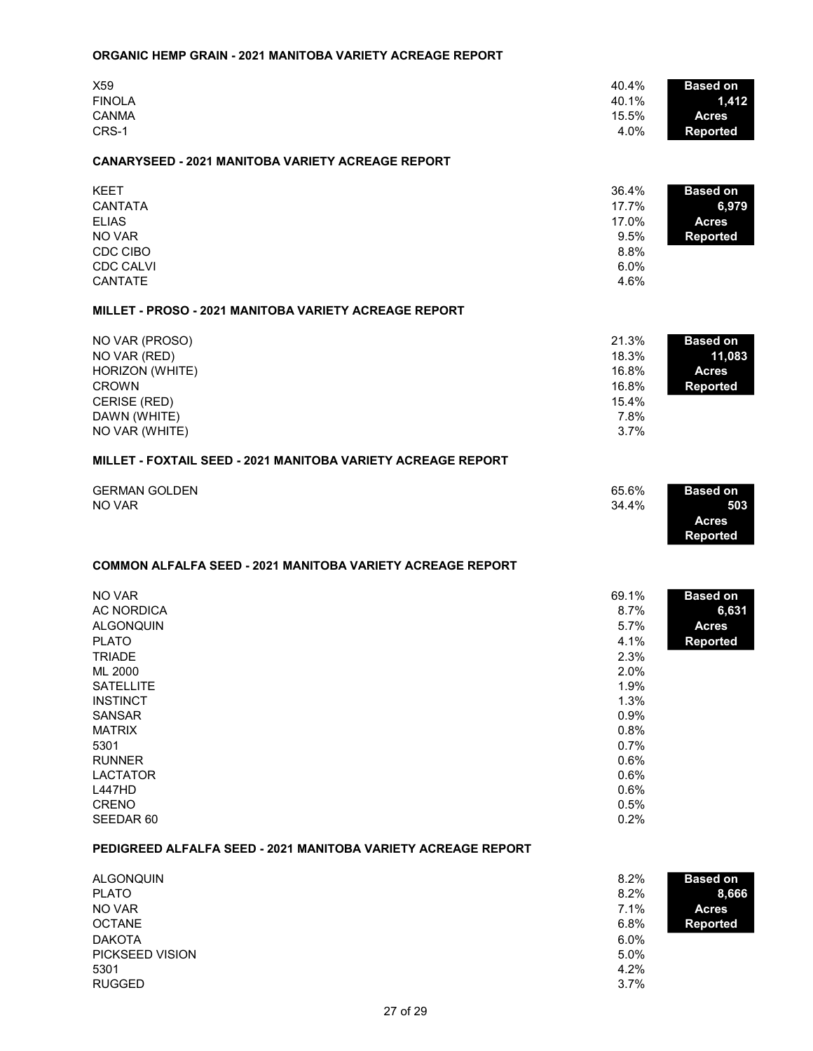#### ORGANIC HEMP GRAIN - 2021 MANITOBA VARIETY ACREAGE REPORT

| X59<br><b>FINOLA</b><br><b>CANMA</b><br>CRS-1                                                                                                                                                                                                                                                                            | 40.4%<br>40.1%<br>15.5%<br>4.0%                                                                                               | <b>Based on</b><br>1,412<br><b>Acres</b><br><b>Reported</b>  |
|--------------------------------------------------------------------------------------------------------------------------------------------------------------------------------------------------------------------------------------------------------------------------------------------------------------------------|-------------------------------------------------------------------------------------------------------------------------------|--------------------------------------------------------------|
| <b>CANARYSEED - 2021 MANITOBA VARIETY ACREAGE REPORT</b>                                                                                                                                                                                                                                                                 |                                                                                                                               |                                                              |
| <b>KEET</b><br><b>CANTATA</b><br><b>ELIAS</b><br>NO VAR<br>CDC CIBO<br><b>CDC CALVI</b><br><b>CANTATE</b>                                                                                                                                                                                                                | 36.4%<br>17.7%<br>17.0%<br>9.5%<br>8.8%<br>6.0%<br>4.6%                                                                       | <b>Based on</b><br>6,979<br><b>Acres</b><br><b>Reported</b>  |
| MILLET - PROSO - 2021 MANITOBA VARIETY ACREAGE REPORT                                                                                                                                                                                                                                                                    |                                                                                                                               |                                                              |
| NO VAR (PROSO)<br>NO VAR (RED)<br>HORIZON (WHITE)<br><b>CROWN</b><br>CERISE (RED)<br>DAWN (WHITE)<br>NO VAR (WHITE)                                                                                                                                                                                                      | 21.3%<br>18.3%<br>16.8%<br>16.8%<br>15.4%<br>7.8%<br>3.7%                                                                     | <b>Based on</b><br>11,083<br><b>Acres</b><br><b>Reported</b> |
| MILLET - FOXTAIL SEED - 2021 MANITOBA VARIETY ACREAGE REPORT                                                                                                                                                                                                                                                             |                                                                                                                               |                                                              |
| <b>GERMAN GOLDEN</b><br>NO VAR                                                                                                                                                                                                                                                                                           | 65.6%<br>34.4%                                                                                                                | <b>Based on</b><br>503<br><b>Acres</b><br><b>Reported</b>    |
| <b>COMMON ALFALFA SEED - 2021 MANITOBA VARIETY ACREAGE REPORT</b>                                                                                                                                                                                                                                                        |                                                                                                                               |                                                              |
| NO VAR<br><b>AC NORDICA</b><br><b>ALGONQUIN</b><br><b>PLATO</b><br><b>TRIADE</b><br>ML 2000<br><b>SATELLITE</b><br><b>INSTINCT</b><br><b>SANSAR</b><br><b>MATRIX</b><br>5301<br><b>RUNNER</b><br><b>LACTATOR</b><br><b>L447HD</b><br>CRENO<br>SEEDAR 60<br>PEDIGREED ALFALFA SEED - 2021 MANITOBA VARIETY ACREAGE REPORT | 69.1%<br>8.7%<br>5.7%<br>4.1%<br>2.3%<br>2.0%<br>1.9%<br>1.3%<br>0.9%<br>0.8%<br>0.7%<br>0.6%<br>0.6%<br>0.6%<br>0.5%<br>0.2% | <b>Based on</b><br>6,631<br><b>Acres</b><br><b>Reported</b>  |
| <b>ALGONQUIN</b><br><b>PLATO</b><br>NO VAR<br><b>OCTANE</b><br><b>DAKOTA</b>                                                                                                                                                                                                                                             | 8.2%<br>8.2%<br>7.1%<br>6.8%<br>6.0%                                                                                          | <b>Based on</b><br>8,666<br><b>Acres</b><br><b>Reported</b>  |

PICKSEED VISION 5.0% and 5.0% and 5.0% and 4.2%  $5301$   $4.2\%$  $\mathsf{RUGGED} \hspace{1.5cm} 3.7\%$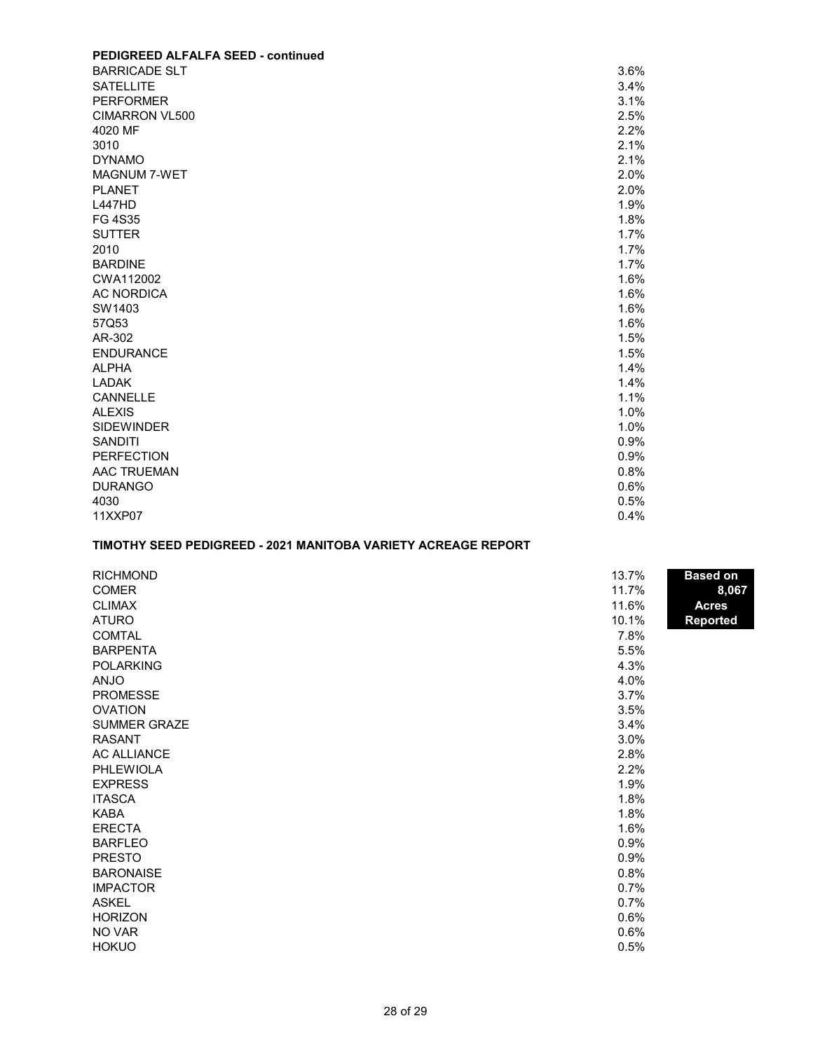#### PEDIGREED ALFALFA SEED - continued BARRICADE SLT 3.6% SATELLITE 3.4% PERFORMER 3.1% CIMARRON VL500 2.5% 2.5% 4020 MF  $\sim$  2.2%  $3010$  2.1%  $DYNAMO$  2.1%  $MAGNUM$   $7-WET$  2.0% PLANET  $\sim$  2.0% L447HD 160 1.9% FG 4S35  $\,$  1.8%  $\,$  $\blacksquare$ SUTTER  $\blacksquare$  1.7%  $2010$  and  $1.7\%$  $\,$  BARDINE  $\,$   $\,$  1.7%  $\,$ CWA112002 1.6% AC NORDICA 2008 12:00:00 12:00:00 13:00:00 13:00:00 13:00:00 13:00:00 13:00:00 13:00:00 13:00:00 13:00:00 13:0  $\mathsf{SW1403} \hspace{1.5mm}$  1.6%  $57Q53$  1.6% and  $1.6\%$  $AR-302$  and  $1.5\%$ ENDURANCE 1.5% and the state of the state of the state of the state of the state of the state of the state of the state of the state of the state of the state of the state of the state of the state of the state of the stat ALPHA 125 1.4%  $\sf{LADAK}$  and the contract of the contract of the contract of the contract of the contract of the contract of the contract of the contract of the contract of the contract of the contract of the contract of the contract of CANNELLE 95 1.1% ALEXIS 85 1.0% SIDEWINDER 1.0% and the state of the state of the state of the state of the state of the state of the state of the state of the state of the state of the state of the state of the state of the state of the state of the sta  $SANDITI$  0.9% PERFECTION 0.9% AAC TRUEMAN 6.8% and the state of the state of the state of the state of the state of the state of the state of the state of the state of the state of the state of the state of the state of the state of the state of the st DURANGO 65% 0.6%  $4030$  0.5% and  $0.5\%$  $11XXPO7$  33  $0.4\%$

#### TIMOTHY SEED PEDIGREED - 2021 MANITOBA VARIETY ACREAGE REPORT

| <b>RICHMOND</b>     | 13.7% | <b>Based on</b> |
|---------------------|-------|-----------------|
| <b>COMER</b>        | 11.7% | 8,067           |
| <b>CLIMAX</b>       | 11.6% | <b>Acres</b>    |
| <b>ATURO</b>        | 10.1% | Reported        |
| <b>COMTAL</b>       | 7.8%  |                 |
| <b>BARPENTA</b>     | 5.5%  |                 |
| <b>POLARKING</b>    | 4.3%  |                 |
| <b>ANJO</b>         | 4.0%  |                 |
| <b>PROMESSE</b>     | 3.7%  |                 |
| <b>OVATION</b>      | 3.5%  |                 |
| <b>SUMMER GRAZE</b> | 3.4%  |                 |
| <b>RASANT</b>       | 3.0%  |                 |
| <b>AC ALLIANCE</b>  | 2.8%  |                 |
| <b>PHLEWIOLA</b>    | 2.2%  |                 |
| <b>EXPRESS</b>      | 1.9%  |                 |
| <b>ITASCA</b>       | 1.8%  |                 |
| <b>KABA</b>         | 1.8%  |                 |
| <b>ERECTA</b>       | 1.6%  |                 |
| <b>BARFLEO</b>      | 0.9%  |                 |
| <b>PRESTO</b>       | 0.9%  |                 |
| <b>BARONAISE</b>    | 0.8%  |                 |
| <b>IMPACTOR</b>     | 0.7%  |                 |
| <b>ASKEL</b>        | 0.7%  |                 |
| <b>HORIZON</b>      | 0.6%  |                 |
| NO VAR              | 0.6%  |                 |
| <b>HOKUO</b>        | 0.5%  |                 |